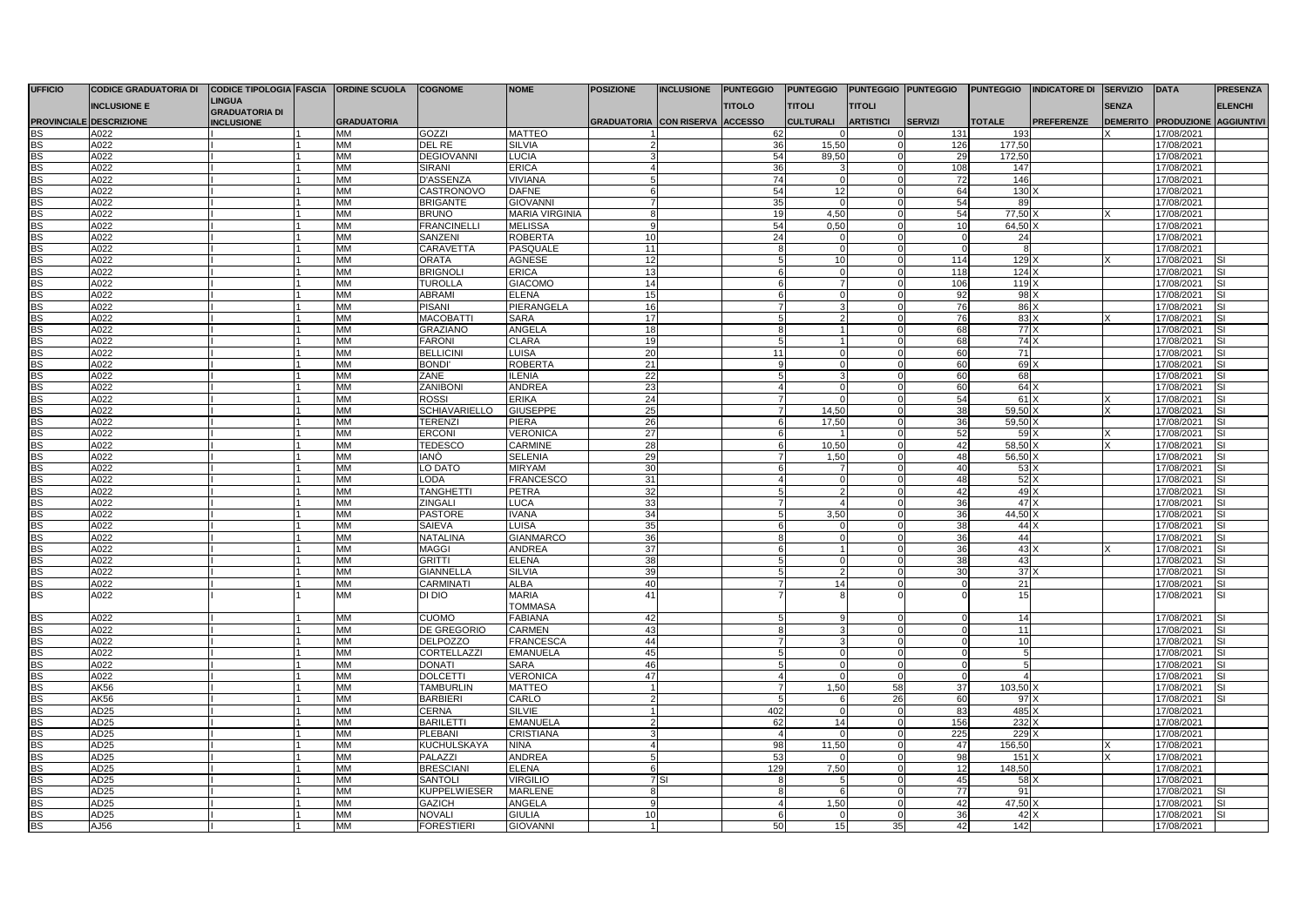| <b>UFFICIO</b>         | <b>CODICE GRADUATORIA DI</b>    | <b>CODICE TIPOLOGIA FASCIA</b> | <b>ORDINE SCUOLA</b>            | <b>COGNOME</b>                         | <b>NOME</b>                     | <b>POSIZIONE</b>                | <b>INCLUSIONE</b> | <b>PUNTEGGIO</b> | <b>PUNTEGGIO</b>     |                              | PUNTEGGIO PUNTEGGIO        | <b>PUNTEGGIO</b>     | <b>INDICATORE DI</b> | <b>SERVIZIO</b> | <b>DATA</b>                       | <b>PRESENZA</b>   |
|------------------------|---------------------------------|--------------------------------|---------------------------------|----------------------------------------|---------------------------------|---------------------------------|-------------------|------------------|----------------------|------------------------------|----------------------------|----------------------|----------------------|-----------------|-----------------------------------|-------------------|
|                        | <b>INCLUSIONE E</b>             | <b>LINGUA</b>                  |                                 |                                        |                                 |                                 |                   | <b>TITOLO</b>    | <b>TITOLI</b>        | TITOLI                       |                            |                      |                      | <b>SENZA</b>    |                                   | <b>ELENCHI</b>    |
|                        |                                 | <b>GRADUATORIA DI</b>          |                                 |                                        |                                 |                                 |                   |                  |                      |                              |                            |                      |                      |                 |                                   |                   |
| <b>BS</b>              | PROVINCIALE DESCRIZIONE<br>A022 | <b>INCLUSIONE</b>              | <b>GRADUATORIA</b><br><b>MM</b> | GOZZI                                  | <b>MATTEO</b>                   | GRADUATORIA CON RISERVA ACCESSO |                   |                  | <b>CULTURALI</b>     | <b>ARTISTICI</b><br>$\Omega$ | <b>SERVIZI</b><br>131      | <b>TOTALE</b><br>193 | <b>PREFERENZE</b>    |                 | DEMERITO PRODUZIONE<br>17/08/2021 | <b>AGGIUNTIVI</b> |
| <b>BS</b>              | A022                            |                                | <b>MM</b>                       | <b>DEL RE</b>                          | SILVIA                          |                                 |                   | 62<br>36         | 15.50                | $\Omega$                     | 126                        | 177.50               |                      |                 | 17/08/2021                        |                   |
| <b>BS</b>              | A022                            |                                | MM                              | <b>DEGIOVANNI</b>                      | <b>LUCIA</b>                    |                                 |                   | 54               | 89,50                | $\Omega$                     | 29                         | 172,50               |                      |                 | 17/08/2021                        |                   |
| BS                     | A022                            |                                | <b>MM</b>                       | <b>SIRANI</b>                          | <b>ERICA</b>                    |                                 |                   | 36               | 3                    | $\Omega$                     | 108                        | 147                  |                      |                 | 17/08/2021                        |                   |
| <b>BS</b>              | A022                            |                                | MM                              | D'ASSENZA                              | VIVIANA                         |                                 |                   | 74               | $\Omega$             | $\mathbf 0$                  | 72                         | 146                  |                      |                 | 17/08/2021                        |                   |
|                        | A022                            |                                | MM                              | CASTRONOVO                             | <b>DAFNE</b>                    |                                 |                   | 54               | 12                   | $\Omega$                     | 64                         | 130                  |                      |                 | 17/08/2021                        |                   |
| BS<br>BS               | A022                            |                                | MМ                              | <b>BRIGANTE</b>                        | <b>GIOVANNI</b>                 |                                 |                   | 35               | $\Omega$             | $\overline{0}$               | 54                         | 89                   |                      |                 | 17/08/2021                        |                   |
| <b>BS</b>              | A022                            |                                | MM                              | <b>BRUNO</b>                           | <b>MARIA VIRGINIA</b>           |                                 |                   | 19               | 4,50                 | $\Omega$                     | 54                         | 77,50                |                      |                 | 17/08/2021                        |                   |
| <b>BS</b>              | A022                            |                                | <b>MM</b>                       | <b>FRANCINELLI</b>                     | <b>MELISSA</b>                  |                                 |                   | 54               | 0.50                 | $\mathbf 0$                  | 10 <sup>1</sup>            | 64.50                |                      |                 | 17/08/2021                        |                   |
| <b>BS</b>              | A022                            |                                | MM                              | SANZENI                                | <b>ROBERTA</b>                  | 10                              |                   | 24               |                      | $\Omega$                     | $\Omega$                   | 24                   |                      |                 | 17/08/2021                        |                   |
| <b>BS</b>              | A022                            |                                | MM                              | CARAVETTA                              | PASQUALE                        | 11                              |                   |                  | $\Omega$             | $\Omega$                     | $\Omega$                   |                      |                      |                 | 17/08/2021                        |                   |
| BS                     | A022                            |                                | <b>MM</b>                       | <b>ORATA</b>                           | <b>AGNESE</b>                   | 12                              |                   |                  | 10                   | $\Omega$                     | 114                        | 129                  |                      |                 | 17/08/2021                        |                   |
| <b>BS</b>              | A022                            |                                | MM                              | <b>BRIGNOL</b>                         | <b>ERICA</b>                    | 13                              |                   | 6                | $\mathbf 0$          | $\mathbf 0$                  | 118                        | 124                  |                      |                 | 17/08/2021                        | SI.               |
| BS                     | A022                            |                                | <b>MM</b>                       | <b>TUROLLA</b>                         | <b>GIACOMO</b>                  | 14                              |                   | 6                | $\overline{7}$       | $\overline{0}$               | 106                        | 119                  |                      |                 | 17/08/2021                        | SI.               |
| <b>BS</b>              | A022                            |                                | MM                              | <b>ABRAMI</b>                          | <b>ELENA</b>                    | 15                              |                   | 6                | 0                    | $\mathbf 0$                  | 92                         | 98 <sub>2</sub>      |                      |                 | 17/08/2021                        | SI                |
| BS<br>BS               | A022                            |                                | MM                              | <b>PISANI</b>                          | PIERANGELA                      | 16                              |                   |                  | $\mathcal{R}$        | $\Omega$                     | 76                         | 86                   |                      |                 | 17/08/2021                        | SI                |
|                        | A022                            |                                | <b>MM</b>                       | <b>MACOBATTI</b>                       | <b>SARA</b>                     | 17                              |                   | 5                | $\overline{2}$       | $\Omega$                     | 76                         | 83                   |                      |                 | 17/08/2021                        | SI                |
| <b>BS</b>              | A022                            |                                | <b>MM</b>                       | GRAZIANO                               | <b>ANGELA</b>                   | 18                              |                   |                  |                      | $\mathbf 0$                  | 68                         | 77                   |                      |                 | 17/08/2021                        |                   |
| BS<br>BS               | A022                            |                                | <b>MM</b>                       | <b>FARONI</b>                          | <b>CLARA</b>                    | 19                              |                   | 5                |                      | $\Omega$                     | 68                         | 74 <sub>x</sub>      |                      |                 | 17/08/2021                        | SI                |
|                        | A022                            |                                | MM                              | <b>BELLICINI</b>                       | <b>LUISA</b>                    | 20                              |                   | 11               | $\mathbf 0$          | $\mathbf 0$                  | 60                         | 71                   |                      |                 | 17/08/2021                        |                   |
| <b>BS</b>              | A022                            |                                | <b>MM</b>                       | <b>BONDI</b>                           | <b>ROBERTA</b>                  | 21                              |                   |                  | $\Omega$             | $\Omega$                     | 60                         | 69                   |                      |                 | 17/08/2021                        | SI                |
| BS                     | A022                            |                                | <b>MM</b>                       | <b>ZANE</b>                            | <b>ILENIA</b>                   | 22                              |                   |                  |                      | $\Omega$                     | 60                         | 68                   |                      |                 | 17/08/2021                        | SI                |
| <b>BS</b>              | A022                            |                                | MM                              | ZANIBONI                               | ANDREA                          | 23                              |                   |                  | $\Omega$             | $\Omega$<br>$\Omega$         | 60                         | 64                   |                      |                 | 17/08/2021                        | SI<br>SI          |
| <b>BS</b>              | A022                            |                                | <b>MM</b>                       | <b>ROSSI</b>                           | <b>ERIKA</b>                    | 24                              |                   |                  |                      |                              | 54<br>38                   | 61)                  |                      |                 | 17/08/2021                        |                   |
| <b>BS</b><br><b>BS</b> | A022<br>A022                    |                                | МM<br>MM                        | <b>SCHIAVARIELLO</b><br><b>TERENZI</b> | <b>GIUSEPPE</b><br><b>PIERA</b> | 25<br>26                        |                   | 6                | 14,50<br>17,50       | $\Omega$<br>$\Omega$         | 36                         | 59,50<br>59,50       |                      |                 | 17/08/2021<br>17/08/2021          |                   |
| BS                     | A022                            |                                | MМ                              | <b>ERCONI</b>                          | <b>VERONICA</b>                 | 27                              |                   | 6                |                      | $\overline{0}$               | 52                         | 59)                  |                      |                 | 17/08/2021                        | SI                |
| <b>BS</b>              | A022                            |                                | <b>MM</b>                       | <b>TEDESCO</b>                         | CARMINE                         | 28                              |                   | 6                | 10,50                | $\mathbf 0$                  | 42                         | 58,50                |                      |                 | 17/08/2021                        | SI                |
| <b>BS</b>              | A022                            |                                | <b>MM</b>                       | IANÒ                                   | <b>SELENIA</b>                  | 29                              |                   | $\overline{7}$   | 1.50                 | $\Omega$                     | 48                         | $56.50$ )            |                      |                 | 17/08/2021                        | SI                |
| BS                     | A022                            |                                | MM                              | LO DATO                                | <b>MIRYAM</b>                   | 30                              |                   |                  | 7                    | $\mathbf 0$                  | 40                         | 53                   |                      |                 | 17/08/2021                        | SI                |
| <b>BS</b>              | A022                            |                                | <b>MM</b>                       | LODA                                   | <b>FRANCESCO</b>                | 31                              |                   |                  | $\Omega$             | $\mathbf 0$                  | 48                         | 52)                  |                      |                 | 17/08/2021                        |                   |
|                        | A022                            |                                | <b>MM</b>                       | <b>TANGHETTI</b>                       | <b>PETRA</b>                    | 32                              |                   |                  | $\mathcal{P}$        | $\Omega$                     | 42                         | $49 \times$          |                      |                 | 17/08/2021                        | SI                |
| BS<br>BS               | A022                            |                                | MM                              | <b>ZINGALI</b>                         | <b>LUCA</b>                     | 33                              |                   |                  |                      | $\Omega$                     | 36                         | 47                   |                      |                 | 17/08/2021                        |                   |
| <b>BS</b>              | A022                            |                                | <b>MM</b>                       | <b>PASTORE</b>                         | <b>IVANA</b>                    | 34                              |                   |                  | 3,50                 | $\Omega$                     | 36                         | 44,50                |                      |                 | 17/08/2021                        | SI                |
| BS                     | A022                            |                                | МM                              | <b>SAIEVA</b>                          | <b>LUISA</b>                    | 35                              |                   |                  | $\Omega$             | $\Omega$                     | 38                         | 44                   |                      |                 | 17/08/2021                        |                   |
| <b>BS</b>              | A022                            |                                | MM                              | <b>NATALINA</b>                        | <b>GIANMARCO</b>                | 36                              |                   |                  | $\Omega$             | $\Omega$                     | 36                         | 44                   |                      |                 | 17/08/2021                        | SI                |
| <b>BS</b>              | A022                            |                                | <b>MM</b>                       | <b>MAGGI</b>                           | <b>ANDREA</b>                   | 37                              |                   |                  |                      | $\Omega$                     | 36                         | 43)                  |                      |                 | 17/08/2021                        | SI                |
| <b>BS</b>              | A022                            |                                | MM                              | <b>GRITTI</b>                          | <b>ELENA</b>                    | 38                              |                   |                  | $\Omega$             | $\Omega$                     | 38                         | 43                   |                      |                 | 17/08/2021                        |                   |
| <b>BS</b>              | A022                            |                                | MM                              | <b>GIANNELLA</b>                       | <b>SILVIA</b>                   | 39                              |                   |                  |                      | $\Omega$                     | 30                         | 37                   |                      |                 | 17/08/2021                        | SI.               |
| BS                     | A022                            |                                | МM                              | CARMINATI                              | <b>ALBA</b>                     | 40                              |                   |                  | 14                   | $\mathbf 0$                  | $\Omega$                   | 21                   |                      |                 | 17/08/2021                        | S١                |
| <b>BS</b>              | A022                            |                                | MM                              | DI DIO                                 | <b>MARIA</b>                    | 41                              |                   |                  | 8                    | $\Omega$                     | O                          | 15                   |                      |                 | 17/08/2021                        | SI                |
|                        |                                 |                                |                                 |                                        | <b>TOMMASA</b>                  |                                 |                   |                  |                      |                              |                            |                      |                      |                 |                                   |                   |
| BS                     | A022                            |                                | MM                              | <b>CUOMO</b>                           | <b>FABIANA</b>                  | 42                              |                   |                  | 9                    | $\Omega$                     | $\Omega$                   | 14                   |                      |                 | 17/08/2021                        |                   |
| <b>BS</b>              | A022                            |                                | MM                              | DE GREGORIO                            | <b>CARMEN</b>                   | 43                              |                   |                  |                      | $\Omega$                     | $\Omega$                   | 11                   |                      |                 | 17/08/2021                        |                   |
| <b>BS</b>              | A022                            |                                | <b>MM</b>                       | <b>DELPOZZO</b>                        | <b>FRANCESCA</b>                | 44<br>45                        |                   |                  | 3                    | $\Omega$<br>$\Omega$         | $\overline{0}$<br>$\Omega$ | 10                   |                      |                 | 17/08/2021                        | SI                |
| BS<br>BS               | A022<br>A022                    |                                | <b>MM</b><br><b>MM</b>          | <b>CORTELLAZZI</b><br><b>DONATI</b>    | <b>EMANUELA</b><br><b>SARA</b>  | 46                              |                   |                  | $\Omega$<br>$\Omega$ | $\Omega$                     | $\Omega$                   |                      |                      |                 | 17/08/2021<br>17/08/2021          | SI                |
| <b>BS</b>              | A022                            |                                | MM                              | <b>DOLCETT</b>                         | VERONICA                        | 47                              |                   |                  | $\Omega$             | $\Omega$                     | $\Omega$                   |                      |                      |                 | 17/08/2021                        |                   |
| <b>BS</b>              | AK56                            |                                | MM                              | <b>TAMBURLIN</b>                       | <b>MATTEO</b>                   |                                 |                   |                  | 1,50                 | 58                           | 37                         | 103,50               |                      |                 | 17/08/2021                        | SI.               |
| BS                     | AK56                            |                                | <b>MM</b>                       | <b>BARBIERI</b>                        | CARLO                           |                                 |                   | -5               | 6                    | 26                           | 60                         | 97                   |                      |                 | 17/08/2021                        | SI                |
| <b>BS</b>              | AD <sub>25</sub>                |                                | MM                              | <b>CERNA</b>                           | SILVIE                          |                                 |                   | 402              | $\Omega$             | $\Omega$                     | 83                         | 485                  |                      |                 | 17/08/2021                        |                   |
| <b>BS</b>              | AD <sub>25</sub>                |                                | MM                              | <b>BARILETTI</b>                       | <b>EMANUELA</b>                 |                                 |                   | 62               | 14                   | $\Omega$                     | 156                        | 232                  |                      |                 | 17/08/2021                        |                   |
| BS                     | AD <sub>25</sub>                |                                | <b>MM</b>                       | <b>PLEBANI</b>                         | <b>CRISTIANA</b>                |                                 |                   | $\overline{4}$   | $\Omega$             | $\overline{0}$               | 225                        | 229                  |                      |                 | 17/08/2021                        |                   |
| <b>BS</b>              | AD25                            |                                | <b>MM</b>                       | <b>KUCHULSKAYA</b>                     | <b>NINA</b>                     |                                 |                   | 98               | 11,50                | $\mathbf 0$                  | 47                         | 156,50               |                      |                 | 17/08/2021                        |                   |
| BS                     | AD <sub>25</sub>                |                                | <b>MM</b>                       | PALAZZI                                | <b>ANDREA</b>                   |                                 |                   | 53               | $\Omega$             | $\Omega$                     | 98                         | 151                  |                      | x               | 17/08/2021                        |                   |
| <b>BS</b>              | AD <sub>25</sub>                |                                | MM                              | <b>BRESCIANI</b>                       | <b>ELENA</b>                    |                                 |                   | 129              | 7,50                 | $\overline{0}$               | 12                         | 148,50               |                      |                 | 17/08/2021                        |                   |
| <b>BS</b>              | AD <sub>25</sub>                |                                | MM                              | <b>SANTOLI</b>                         | <b>VIRGILIO</b>                 |                                 | 7 SI              | 8                | -5                   | $\mathbf 0$                  | 45                         | 58                   |                      |                 | 17/08/2021                        |                   |
| <b>BS</b>              | AD <sub>25</sub>                |                                | <b>MM</b>                       | <b>KUPPELWIESER</b>                    | <b>MARLENE</b>                  | 8                               |                   | 8                | 6                    | $\overline{0}$               | 77                         | 91                   |                      |                 | 17/08/2021                        |                   |
|                        | AD25                            |                                | <b>MM</b>                       | <b>GAZICH</b>                          | ANGELA                          |                                 |                   |                  | 1.50                 | $\Omega$                     | 42                         | 47.50                |                      |                 | 17/08/2021                        |                   |
| BS<br>BS<br>BS         | AD <sub>25</sub>                |                                | MМ                              | NOVALI                                 | <b>GIULIA</b>                   | 10                              |                   |                  | 0                    | $\mathbf 0$                  | 36                         | 42                   |                      |                 | 17/08/2021                        |                   |
|                        | AJ56                            |                                | <b>MM</b>                       | <b>FORESTIERI</b>                      | <b>GIOVANN</b>                  |                                 |                   | 50               | 15                   | 35                           | 42                         | 142                  |                      |                 | 17/08/2021                        |                   |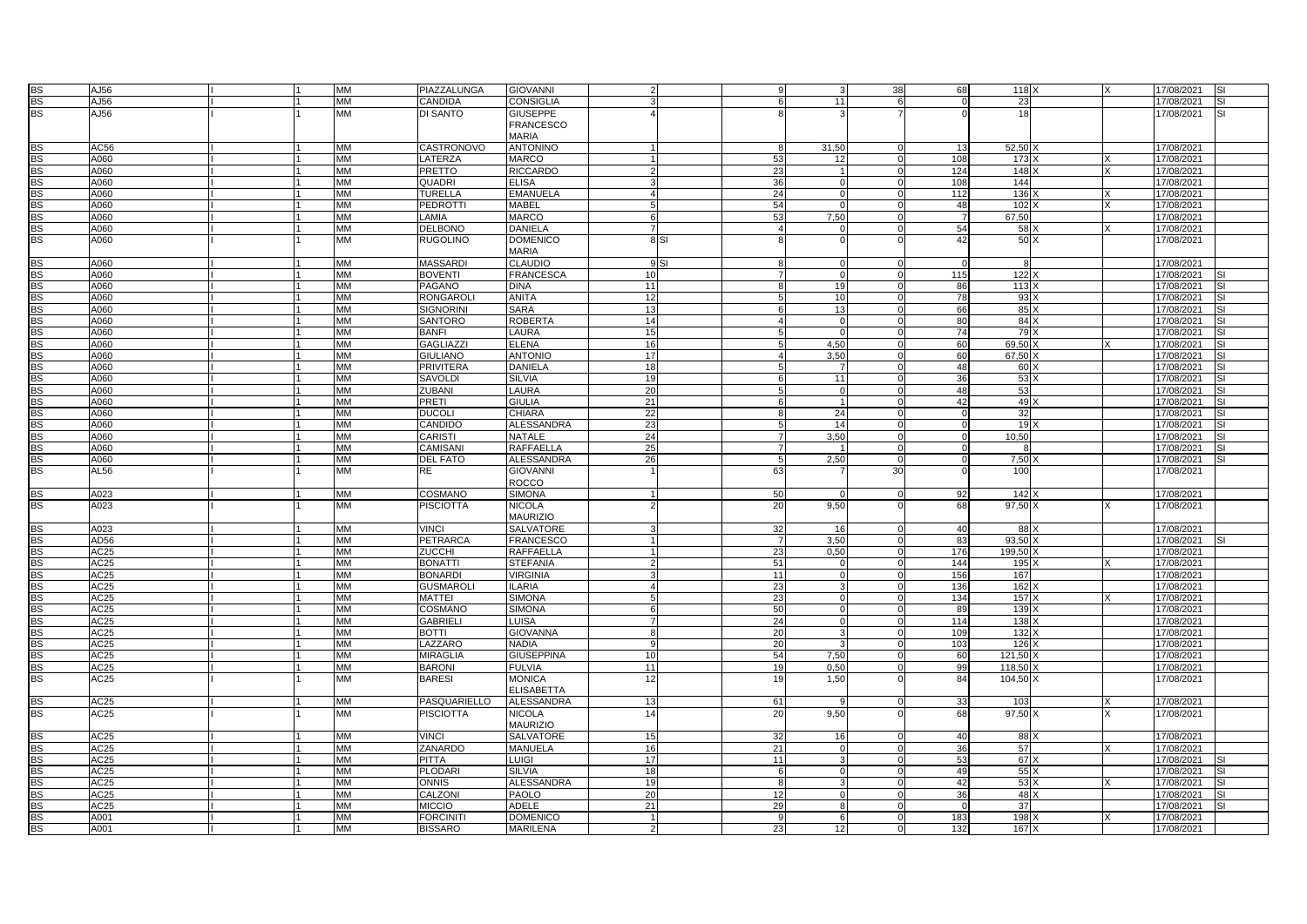| <b>BS</b>       | AJ56             |  | MM        | PIAZZALUNGA       | <b>GIOVANNI</b>   |                |      |     |                | 38                   | 68              | 118             |   | 17/08/2021 | SI                      |
|-----------------|------------------|--|-----------|-------------------|-------------------|----------------|------|-----|----------------|----------------------|-----------------|-----------------|---|------------|-------------------------|
| <b>BS</b>       | AJ56             |  | MM        | CANDIDA           | CONSIGLIA         |                |      |     | 11             | $\overline{6}$       | $\Omega$        | 23              |   | 17/08/2021 | SI                      |
| <b>BS</b>       | AJ56             |  | <b>MM</b> | DI SANTO          | <b>GIUSEPPE</b>   |                |      |     |                |                      | $\Omega$        | 18              |   | 17/08/2021 | SI                      |
|                 |                  |  |           |                   | <b>FRANCESCO</b>  |                |      |     |                |                      |                 |                 |   |            |                         |
|                 |                  |  |           |                   | <b>MARIA</b>      |                |      |     |                |                      |                 |                 |   |            |                         |
| <b>BS</b>       | AC56             |  | MМ        | <b>CASTRONOVO</b> | <b>ANTONINO</b>   |                |      | 8   | 31,50          | $\mathbf 0$          | 13 <sup>1</sup> | 52,50           |   | 17/08/2021 |                         |
| <b>BS</b>       | A060             |  | <b>MM</b> | LATERZA           | <b>MARCO</b>      |                |      | 53  | 12             | $\Omega$             | 108             | 173             |   | 17/08/2021 |                         |
|                 |                  |  |           |                   |                   | $\mathcal{D}$  |      |     |                |                      |                 |                 |   |            |                         |
| <b>BS</b>       | A060             |  | MM        | <b>PRETTO</b>     | <b>RICCARDO</b>   |                |      | 23  |                | $\mathbf 0$          | 124             | 148             |   | 17/08/2021 |                         |
| <b>BS</b>       | A060             |  | <b>MM</b> | <b>QUADRI</b>     | <b>ELISA</b>      | 3              |      | 36  | $\overline{0}$ | $\mathbf 0$          | 108             | 144             |   | 17/08/2021 |                         |
| <b>BS</b>       | A060             |  | MM        | <b>TURELLA</b>    | <b>EMANUELA</b>   | Δ              |      | 24  | $\Omega$       | $\overline{0}$       | 112             | 136             |   | 17/08/2021 |                         |
| <b>BS</b>       | A060             |  | <b>MM</b> | <b>PEDROTTI</b>   | <b>MABEL</b>      | -5             |      | 54  | $\Omega$       | $\Omega$             | 48              | 102             | x | 17/08/2021 |                         |
| <b>BS</b>       | A060             |  | MM        | LAMIA             | <b>MARCO</b>      | 6              |      | 53  | 7,50           | $\Omega$             | $\overline{7}$  | 67,50           |   | 17/08/2021 |                         |
| <b>BS</b>       | A060             |  | MM        | <b>DELBONO</b>    | DANIELA           | $\overline{7}$ |      |     | $\Omega$       | $\Omega$             | 54              | 58              |   | 17/08/2021 |                         |
| <b>BS</b>       | A060             |  | MM        | <b>RUGOLINO</b>   | <b>DOMENICO</b>   |                | 8 SI |     | $\Omega$       | $\Omega$             | 42              | 50 <sub>x</sub> |   | 17/08/2021 |                         |
|                 |                  |  |           |                   | <b>MARIA</b>      |                |      |     |                |                      |                 |                 |   |            |                         |
| <b>BS</b>       | A060             |  | МM        | <b>MASSARDI</b>   | <b>CLAUDIO</b>    |                | 9 SI |     | $\overline{0}$ | $\Omega$             | $\Omega$        | 8               |   | 17/08/2021 |                         |
| <b>BS</b>       | A060             |  | <b>MM</b> | <b>BOVENTI</b>    | <b>FRANCESCA</b>  | 10             |      |     | $\mathbf 0$    | $\mathbf 0$          | 115             | 122             |   | 17/08/2021 |                         |
| <b>BS</b>       | A060             |  | MМ        | <b>PAGANO</b>     | <b>DINA</b>       | 11             |      |     | 19             | $\Omega$             | 86              | 113             |   | 17/08/2021 | SI                      |
| <b>BS</b>       | A060             |  | <b>MM</b> | <b>RONGAROL</b>   | <b>ANITA</b>      | 12             |      |     | 10             | $\Omega$             | 78              | 93              |   | 17/08/2021 | SI                      |
| <b>BS</b>       | A060             |  | MM        | SIGNORINI         | SARA              | 13             |      |     | 13             | $\Omega$             | 66              | 85              |   | 17/08/2021 | SI                      |
| <b>BS</b>       | A060             |  | <b>MM</b> | <b>SANTORO</b>    | <b>ROBERTA</b>    | 14             |      |     | $\Omega$       | $\overline{0}$       | 80              | 84)             |   | 17/08/2021 | SI                      |
| <b>BS</b>       | A060             |  | MM        | <b>BANFI</b>      | LAURA             | 15             |      |     |                | $\Omega$             | 74              | 79)             |   | 17/08/2021 | SΙ                      |
| <b>BS</b>       | A060             |  | MМ        | <b>GAGLIAZZI</b>  | <b>ELENA</b>      | 16             |      |     | 4,50           | $\overline{0}$       | 60              | 69.50 >         |   | 17/08/2021 | SI                      |
| <b>BS</b>       | A060             |  | MM        | <b>GIULIANO</b>   | <b>ANTONIO</b>    | 17             |      |     | 3,50           | $\Omega$             | 60              | 67,50           |   | 17/08/2021 |                         |
|                 |                  |  | <b>MM</b> |                   |                   |                |      |     | $\overline{7}$ | $\Omega$             | 48              |                 |   |            | SI<br>SI                |
| BS<br><b>BS</b> | A060             |  |           | <b>PRIVITERA</b>  | DANIELA           | 18<br>19       |      |     |                | $\overline{0}$       |                 | 60              |   | 17/08/2021 | SI                      |
|                 | A060             |  | MM        | SAVOLDI           | <b>SILVIA</b>     |                |      |     | 11             |                      | 36              | 53              |   | 17/08/2021 |                         |
| <b>BS</b>       | A060             |  | <b>MM</b> | ZUBANI            | LAURA             | 20             |      |     | $\Omega$       | $\mathbf 0$          | 48              | 53              |   | 17/08/2021 | SI                      |
| <b>BS</b>       | A060             |  | MМ        | PRETI             | <b>GIULIA</b>     | 21             |      |     | $\mathbf{1}$   | $\mathbf 0$          | 42              | 49)             |   | 17/08/2021 | SI                      |
| <b>BS</b>       | A060             |  | <b>MM</b> | <b>DUCOLI</b>     | CHIARA            | 22             |      |     | 24             | $\mathbf 0$          | $\Omega$        | 32              |   | 17/08/2021 | SI                      |
| <b>BS</b>       | A060             |  | MМ        | CANDIDO           | <b>ALESSANDRA</b> | 23             |      |     | 14             | $\overline{0}$       | $\Omega$        | 19              |   | 17/08/2021 | S١                      |
| <b>BS</b>       | A060             |  | <b>MM</b> | <b>CARISTI</b>    | <b>NATALE</b>     | 24             |      |     | 3,50           | $\mathbf 0$          | $\overline{0}$  | 10,50           |   | 17/08/2021 | S١                      |
| <b>BS</b>       | A060             |  | MM        | CAMISANI          | RAFFAELLA         | 25             |      |     |                | $\Omega$             | $\mathbf 0$     | 8               |   | 17/08/2021 | SI                      |
| <b>BS</b>       | A060             |  | <b>MM</b> | <b>DEL FATO</b>   | ALESSANDRA        | 26             |      |     | 2,50           | $\mathbf 0$          | $\overline{0}$  | 7.50            |   | 17/08/2021 | SI                      |
| <b>BS</b>       | AL56             |  | MM        | RE                | <b>GIOVANNI</b>   |                |      | 63  |                | 30                   | $\Omega$        | 100             |   | 17/08/2021 |                         |
|                 |                  |  |           |                   | ROCCO             |                |      |     |                |                      |                 |                 |   |            |                         |
| BS              | A023             |  | <b>MM</b> | COSMANO           | SIMONA            |                |      | 50  |                | $\overline{0}$       | 92              | 142             |   | 17/08/2021 |                         |
| <b>BS</b>       | A023             |  | <b>MM</b> | <b>PISCIOTTA</b>  | NICOLA            |                |      | 20  | 9,50           | $\Omega$             | 68              | $97,50$ )       |   | 17/08/2021 |                         |
|                 |                  |  |           |                   | <b>MAURIZIO</b>   |                |      |     |                |                      |                 |                 |   |            |                         |
| <b>BS</b>       | A023             |  | MM        | <b>VINCI</b>      | <b>SALVATORE</b>  |                |      | 32  | 16             | $\Omega$             | 40              | 88              |   | 17/08/2021 |                         |
| <b>BS</b>       | AD56             |  | MМ        | PETRARCA          | <b>FRANCESCO</b>  |                |      |     | 3,50           | $\Omega$             | 83              | 93,50           |   | 17/08/2021 |                         |
| <b>BS</b>       | AC25             |  | MM        | ZUCCHI            | RAFFAELLA         |                |      | 23  | 0.50           | $\Omega$             | 176             | 199,50          |   | 17/08/2021 |                         |
| BS              | AC25             |  | MM        | <b>BONATTI</b>    | <b>STEFANIA</b>   |                |      | 51  | $\Omega$       | $\Omega$             | 144             | 195             |   | 17/08/2021 |                         |
| <b>BS</b>       | AC <sub>25</sub> |  | МM        | <b>BONARDI</b>    | <b>VIRGINIA</b>   |                |      | 11  | $\overline{0}$ | $\overline{0}$       | 156             | 167             |   | 17/08/2021 |                         |
| <b>BS</b>       | AC25             |  | <b>MM</b> | <b>GUSMAROL</b>   | LARIA             | Δ              |      | 23  | 3              | $\Omega$             | 136             | 162             |   | 17/08/2021 |                         |
|                 |                  |  |           |                   |                   |                |      |     |                |                      |                 |                 |   |            |                         |
| <b>BS</b>       | AC25             |  | <b>MM</b> | <b>MATTEI</b>     | <b>SIMONA</b>     | 5              |      | 23  | $\overline{0}$ | $\Omega$<br>$\Omega$ | 134             | 157             |   | 17/08/2021 |                         |
| <b>BS</b>       | AC25             |  | MM        | COSMANC           | <b>SIMONA</b>     | 6              |      | 50  | $\Omega$       |                      | 89              | 139             |   | 17/08/2021 |                         |
| <b>BS</b>       | AC25             |  | <b>MM</b> | <b>GABRIELI</b>   | LUISA             |                |      | 24  | $\Omega$       | $\Omega$             | 114             | 138             |   | 17/08/2021 |                         |
| <b>BS</b>       | AC <sub>25</sub> |  | MM        | <b>BOTTI</b>      | <b>GIOVANNA</b>   | -8             |      | 20  |                | $\Omega$             | 109             | 132             |   | 17/08/2021 |                         |
| <b>BS</b>       | AC <sub>25</sub> |  | MM        | LAZZARO           | <b>NADIA</b>      | -9             |      | 20  |                | $\mathbf 0$          | 103             | 126             |   | 17/08/2021 |                         |
| <b>BS</b>       | AC25             |  | <b>MM</b> | <b>MIRAGLIA</b>   | <b>GIUSEPPINA</b> | 10             |      | 54  | 7.50           | $\overline{0}$       | 60              | 121.50          |   | 17/08/2021 |                         |
| <b>BS</b>       | AC <sub>25</sub> |  | <b>MM</b> | <b>BARONI</b>     | <b>FULVIA</b>     | 11             |      | 19  | 0,50           | $\Omega$             | 99              | 118,50          |   | 17/08/2021 |                         |
| <b>BS</b>       | AC25             |  | <b>MM</b> | <b>BARESI</b>     | <b>MONICA</b>     | 12             |      | 19  | 1,50           | $\Omega$             | 84              | $104,50$ )      |   | 17/08/2021 |                         |
|                 |                  |  |           |                   | <b>ELISABETTA</b> |                |      |     |                |                      |                 |                 |   |            |                         |
| <b>BS</b>       | AC25             |  | MM        | PASQUARIELLO      | ALESSANDRA        | 13             |      | 61  |                | $\Omega$             | 33              | 103             |   | 17/08/2021 |                         |
| <b>BS</b>       | AC <sub>25</sub> |  | <b>MM</b> | <b>PISCIOTTA</b>  | NICOLA            | 14             |      | 20  | 9,50           | $\Omega$             | 68              | 97,50           |   | 17/08/2021 |                         |
|                 |                  |  |           |                   | <b>MAURIZIO</b>   |                |      |     |                |                      |                 |                 |   |            |                         |
| <b>BS</b>       | AC25             |  | <b>MM</b> | <b>VINCI</b>      | <b>SALVATORE</b>  | 15             |      | 32  | 16             | $\Omega$             | 40              | 88 X            |   | 17/08/2021 |                         |
| <b>BS</b>       | AC25             |  | <b>MM</b> | ZANARDO           | MANUELA           | 16             |      | 21  | $\Omega$       | $\Omega$             | 36              | 57              |   | 17/08/2021 |                         |
| <b>BS</b>       | AC25             |  | <b>MM</b> | <b>PITTA</b>      | LUIGI             | 17             |      | 11  | $\mathcal{R}$  | $\Omega$             | 53              | 67              |   | 17/08/2021 | SI                      |
| <b>BS</b>       | AC25             |  | <b>MM</b> | <b>PLODARI</b>    | <b>SILVIA</b>     | 18             |      | - 6 | $\Omega$       | $\Omega$             | 49              | 55)             |   | 17/08/2021 | $\overline{\mathbf{s}}$ |
| <b>BS</b>       | AC25             |  | <b>MM</b> | <b>ONNIS</b>      | ALESSANDRA        | 19             |      | -8  |                | $\Omega$             | 42              | 53 X            |   | 17/08/2021 | SI                      |
| <b>BS</b>       | AC25             |  | <b>MM</b> | CALZONI           | PAOLO             | 20             |      | 12  | $\Omega$       | $\Omega$             | 36              | $48 \times$     |   | 17/08/2021 | S١                      |
| <b>BS</b>       | AC <sub>25</sub> |  | MM        | <b>MICCIO</b>     | ADELE             | 21             |      | 29  |                | $\Omega$             | $\Omega$        | 37              |   | 17/08/2021 |                         |
| <b>BS</b>       | A001             |  | MM        | <b>FORCINITI</b>  | <b>DOMENICO</b>   |                |      |     | 6              | $\Omega$             | 183             | 198             |   | 17/08/2021 |                         |
|                 |                  |  | <b>MM</b> |                   |                   | $\overline{2}$ |      | 23  |                | $\Omega$             | 132             |                 |   |            |                         |
| BS              | A001             |  |           | <b>BISSARO</b>    | <b>MARILENA</b>   |                |      |     | 12             |                      |                 | 167             |   | 17/08/2021 |                         |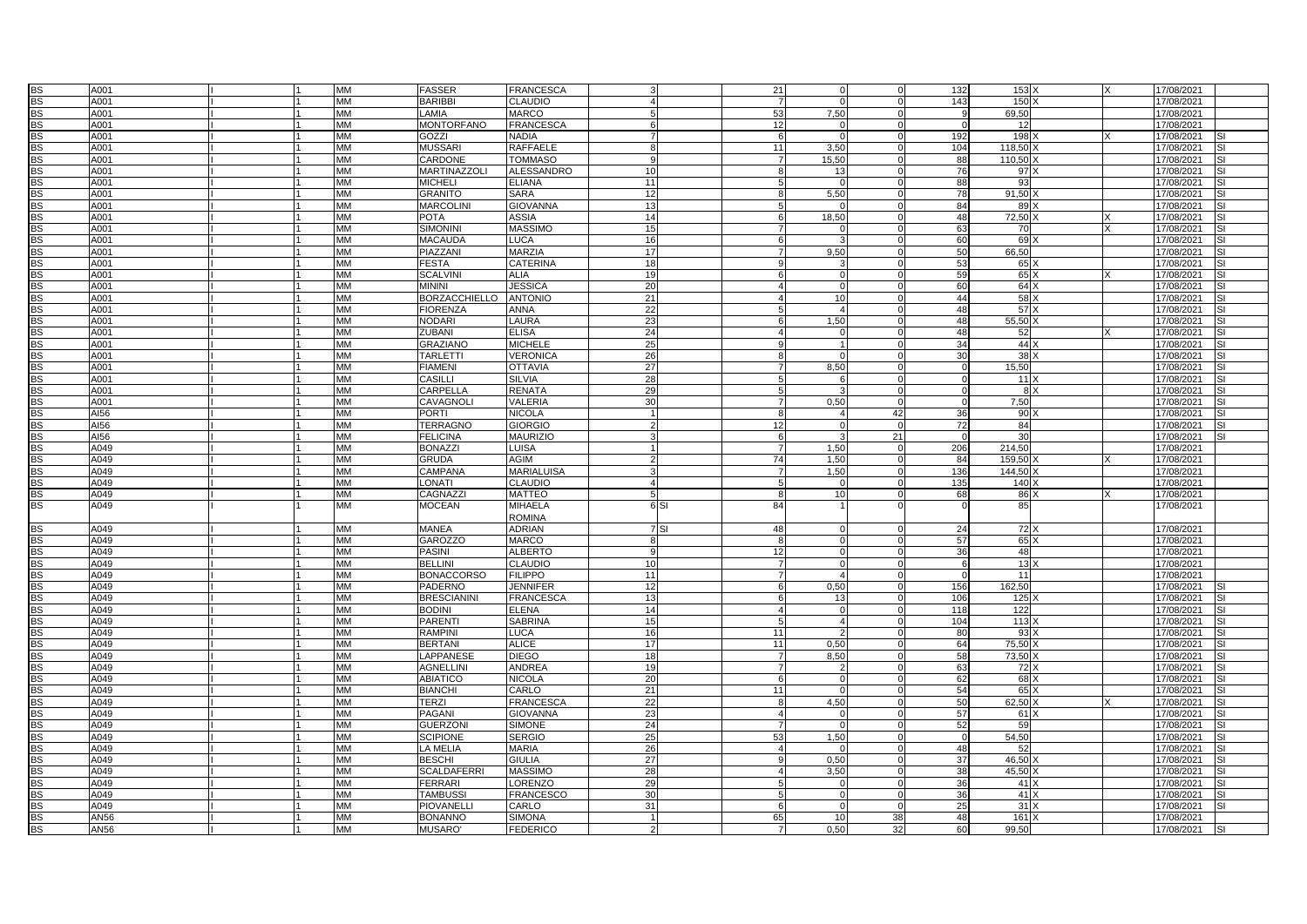| <b>BS</b> | A001 | $\mathsf{I}$ | MM        | <b>FASSER</b>        | <b>FRANCESCA</b>  |                   | 21             | $\Omega$<br>$\Omega$       | 132            | 153             |     | 17/08/2021              |
|-----------|------|--------------|-----------|----------------------|-------------------|-------------------|----------------|----------------------------|----------------|-----------------|-----|-------------------------|
| <b>BS</b> | A001 |              | MM        | <b>BARIBBI</b>       | CLAUDIO           |                   |                | $\Omega$<br>$\Omega$       | 143            | 150             |     | 17/08/2021              |
|           |      |              |           |                      |                   |                   |                |                            |                |                 |     |                         |
| <b>BS</b> | A001 |              | <b>MM</b> | LAMIA                | <b>MARCO</b>      |                   | 53             | 7.50<br>$\cap$             | 9              | 69.50           |     | 17/08/2021              |
| BS        | A001 |              | MM        | <b>MONTORFANO</b>    | FRANCESCA         |                   | 12             | $\Omega$<br>$\Omega$       | $\Omega$       | 12              |     | 17/08/2021              |
| <b>BS</b> | A001 |              | <b>MM</b> | <b>GOZZI</b>         | NADIA             |                   | 6              | $\overline{0}$<br>$\Omega$ | 192            | 198             |     | 17/08/2021              |
| BS        | A001 |              | MM        | <b>MUSSARI</b>       | RAFFAELE          |                   | 11             | 3,50<br>$\cap$             | 104            | 118,50          |     | 17/08/2021              |
| <b>BS</b> | A001 |              | <b>MM</b> | CARDONE              | <b>TOMMASO</b>    | -9                | $\overline{7}$ | 15.50<br>$\Omega$          | 88             | 110.50          |     | 17/08/2021              |
| <b>BS</b> | A001 |              | MM        | MARTINAZZOLI         | <b>ALESSANDRO</b> | 10                |                | 13<br>$\Omega$             | 76             | 97              |     | 17/08/2021              |
|           |      |              | <b>MM</b> |                      |                   | 11                |                | $\Omega$<br>$\Omega$       |                |                 |     |                         |
| <b>BS</b> | A001 |              |           | <b>MICHELI</b>       | <b>ELIANA</b>     |                   |                |                            | 88             | 93              |     | 17/08/2021              |
| BS        | A001 |              | MM        | <b>GRANITO</b>       | SARA              | 12                |                | 5,50<br>$\Omega$           | 78             | 91,50           |     | 17/08/2021              |
| <b>BS</b> | A001 |              | <b>MM</b> | <b>MARCOLINI</b>     | <b>GIOVANNA</b>   | 13                | 5              | $\Omega$<br>$\Omega$       | 84             | 89              |     | 17/08/2021<br>SI        |
| <b>BS</b> | A001 |              | МM        | <b>POTA</b>          | <b>ASSIA</b>      | 14                | 6              | 18,50<br>$\Omega$          | 48             | 72,50           |     | 17/08/2021<br><b>SI</b> |
| <b>BS</b> | A001 |              | MM        | <b>SIMONINI</b>      | <b>MASSIMO</b>    | 15                |                | $\Omega$<br>C              | 63             | 70              |     | 17/08/2021              |
| <b>BS</b> | A001 |              | MM        | <b>MACAUDA</b>       | <b>LUCA</b>       | 16                | 6              | 3<br>$\Omega$              | 60             | 69              |     | 17/08/2021              |
| <b>BS</b> | A001 |              | <b>MM</b> | PIAZZANI             | <b>MARZIA</b>     | 17                |                | 9.50<br>$\Omega$           | 50             | 66.50           |     | 17/08/2021              |
|           |      |              |           |                      |                   |                   |                |                            |                |                 |     |                         |
| BS        | A001 |              | <b>MM</b> | <b>FESTA</b>         | CATERINA          | 18                |                | 3                          | 53             | 65              |     | 17/08/2021              |
| <b>BS</b> | A001 |              | <b>MM</b> | <b>SCALVIN</b>       | <b>ALIA</b>       | 19                |                | $\Omega$<br>$\cap$         | 59             | 65)             |     | 17/08/2021              |
| BS        | A001 |              | MM        | <b>MININI</b>        | <b>JESSICA</b>    | 20                |                | $\Omega$<br>$\Omega$       | 60             | 64              |     | 17/08/2021<br>SI        |
| <b>BS</b> | A001 |              | <b>MM</b> | <b>BORZACCHIELLO</b> | <b>ANTONIO</b>    | 21                |                | 10<br>$\Omega$             | 44             | 58 <sup>2</sup> |     | 17/08/2021<br>SI        |
| <b>BS</b> | A001 |              | <b>MM</b> | <b>FIORENZA</b>      | ANNA              | 22                |                | $\overline{4}$             | 48             | 57 X            |     | 17/08/2021              |
| <b>BS</b> | A001 |              | <b>MM</b> | <b>NODARI</b>        | LAURA             | 23                | 6              | 1,50<br>$\Omega$           | 48             | 55.50 X         |     | 17/08/2021<br>SI        |
|           |      |              |           |                      |                   |                   |                |                            |                |                 |     |                         |
| <b>BS</b> | A001 |              | <b>MM</b> | <b>ZUBANI</b>        | <b>ELISA</b>      | 24                |                | $\Omega$<br>$\Omega$       | 48             | 52              |     | 17/08/2021<br>SI        |
| BS        | A001 |              | <b>MM</b> | <b>GRAZIANO</b>      | <b>MICHELE</b>    | 25                |                | $\mathbf{1}$<br>$\Omega$   | 34             | 44              |     | 17/08/2021              |
| <b>BS</b> | A001 |              | <b>MM</b> | <b>TARLETTI</b>      | VERONICA          | 26                | 8              | $\Omega$<br>$\Omega$       | 30             | 38 <sub>2</sub> |     | 17/08/2021<br>S١        |
| BS        | A001 |              | MM        | <b>FIAMENI</b>       | <b>OTTAVIA</b>    | 27                |                | 8.50<br>$\Omega$           | $\overline{0}$ | 15,50           |     | 17/08/2021<br>SI        |
| <b>BS</b> | A001 |              | <b>MM</b> | <b>CASILLI</b>       | <b>SILVIA</b>     | 28                |                | 6<br>$\Omega$              | $\overline{0}$ |                 | 11X | 17/08/2021<br>SI        |
| <b>BS</b> | A001 |              | <b>MM</b> | CARPELLA             | RENATA            | 29                |                | $\cap$<br>3                | $\mathbf{O}$   |                 | 8 X | 17/08/2021              |
|           |      |              |           |                      |                   |                   |                |                            |                |                 |     |                         |
| <b>BS</b> | A001 |              | <b>MM</b> | CAVAGNOLI            | VALERIA           | 30                |                | 0,50<br>$\Omega$           | $\Omega$       | 7,50            |     | 17/08/2021<br>SI        |
| BS        | AI56 |              | <b>MM</b> | <b>PORTI</b>         | <b>NICOLA</b>     |                   |                | 42<br>$\overline{4}$       | 36             | 90              |     | 17/08/2021<br>SI        |
| <b>BS</b> | AI56 |              | <b>MM</b> | <b>TERRAGNO</b>      | <b>GIORGIO</b>    |                   | 12             | $\Omega$<br>$\Omega$       | 72             | 84              |     | 17/08/2021              |
| <b>BS</b> | AI56 |              | MM        | <b>FELICINA</b>      | <b>MAURIZIO</b>   |                   | -6             | 21<br>$\mathbf{B}$         | $\overline{0}$ | 30 <sup>1</sup> |     | 17/08/2021              |
| <b>BS</b> | A049 |              | <b>MM</b> | <b>BONAZZI</b>       | LUISA             |                   | $\overline{7}$ | 1,50<br>$\Omega$           | 206            | 214,50          |     | 17/08/2021              |
| <b>BS</b> | A049 |              | <b>MM</b> | <b>GRUDA</b>         | AGIM              |                   | 74             | 1,50<br>$\cap$             | 84             | 159,50          |     | 17/08/2021              |
|           |      |              | <b>MM</b> |                      | <b>MARIALUISA</b> |                   | $\overline{7}$ | $\Omega$                   | 136            |                 |     |                         |
| <b>BS</b> | A049 |              |           | <b>CAMPANA</b>       |                   |                   |                | 1,50                       |                | 144,50          |     | 17/08/2021              |
| BS        | A049 |              | MM        | <b>LONATI</b>        | CLAUDIO           |                   | 5              | $\Omega$<br>$\Omega$       | 135            | 140             |     | 17/08/2021              |
| <b>BS</b> | A049 |              | <b>MM</b> | CAGNAZZI             | <b>MATTEO</b>     |                   | $\mathsf{R}$   | 10<br>$\Omega$             | 68             | 86 X            |     | 17/08/2021              |
| <b>BS</b> | A049 |              | МM        | <b>MOCEAN</b>        | MIHAELA           | 6 <sub>SI</sub>   | 84             | n                          | $\Omega$       | 85              |     | 17/08/2021              |
|           |      |              |           |                      | <b>ROMINA</b>     |                   |                |                            |                |                 |     |                         |
| BS        | A049 |              | <b>MM</b> | <b>MANEA</b>         | <b>ADRIAN</b>     | $\overline{7}$ SI | 48             |                            | 24             | 72X             |     | 17/08/2021              |
| <b>BS</b> | A049 |              | <b>MM</b> | <b>GAROZZO</b>       | <b>MARCO</b>      |                   | $\mathsf{R}$   | $\Omega$                   | 57             | 65 X            |     | 17/08/2021              |
|           |      |              |           |                      |                   |                   |                |                            |                |                 |     |                         |
| <b>BS</b> | A049 |              | MM        | <b>PASINI</b>        | <b>ALBERTO</b>    | -9                | 12             | $\Omega$<br>$\Omega$       | 36             | 48              |     | 17/08/2021              |
| <b>BS</b> | A049 |              | MM        | <b>BELLINI</b>       | CLAUDIO           | 10                |                | $\Omega$<br>$\Omega$       | 6              | 13              |     | 17/08/2021              |
| <b>BS</b> | A049 |              | MM        | <b>BONACCORSO</b>    | <b>FILIPPO</b>    | 11                |                | $\overline{4}$<br>$\Omega$ | $\overline{0}$ | 11              |     | 17/08/2021              |
| <b>BS</b> | A049 |              | <b>MM</b> | <b>PADERNO</b>       | <b>JENNIFER</b>   | 12                |                | 0.50<br>$\cap$             | 156            | 162.50          |     | 17/08/2021              |
| BS        | A049 |              | MM        | <b>BRESCIANINI</b>   | FRANCESCA         | 13                |                | 13<br>$\Omega$             | 106            | 125             |     | 17/08/2021              |
| <b>BS</b> | A049 |              | <b>MM</b> | <b>BODINI</b>        | <b>ELENA</b>      | 14                |                | $\Omega$<br>$\epsilon$     | 118            | 122             |     | 17/08/2021              |
| BS        | A049 |              | MM        | <b>PARENT</b>        | SABRINA           | 15                |                | $\overline{4}$             | 104            | $113$           |     | S١                      |
|           |      |              |           |                      |                   |                   |                |                            |                |                 |     | 17/08/2021              |
| <b>BS</b> | A049 |              | <b>MM</b> | <b>RAMPINI</b>       | LUCA              | 16                | 11             | $\mathcal{P}$<br>$\Omega$  | 80             | 93)             |     | 17/08/2021<br>SI        |
| <b>BS</b> | A049 |              | MM        | <b>BERTANI</b>       | <b>ALICE</b>      | 17                | 11             | 0,50<br>$\Omega$           | 64             | 75,50           |     | 17/08/2021              |
| <b>BS</b> | A049 |              | <b>MM</b> | <b>LAPPANESE</b>     | <b>DIEGO</b>      | 18                |                | 8,50                       | 58             | 73,50           |     | 17/08/2021              |
| BS        | A049 |              | <b>MM</b> | <b>AGNELLINI</b>     | ANDREA            | 19                | -7             | 2<br>O                     | 63             | 72              |     | 17/08/2021              |
| <b>BS</b> | A049 |              | <b>MM</b> | <b>ABIATICO</b>      | <b>NICOLA</b>     | 20                | 6              | $\Omega$<br>$\Omega$       | 62             | 68              |     | 17/08/2021<br>S١        |
| <b>BS</b> | A049 |              | <b>MM</b> | <b>BIANCHI</b>       | CARLO             | 21                | 11             | $\Omega$<br>$\epsilon$     | 54             | 65)             |     | 17/08/2021<br>SI        |
|           |      |              |           |                      |                   |                   |                |                            |                |                 |     |                         |
| <b>BS</b> | A049 |              | <b>MM</b> | <b>TERZI</b>         | <b>FRANCESCA</b>  | 22                | 8              | 4,50<br>$\cap$             | 50             | 62,50           |     | 17/08/2021              |
| <b>BS</b> | A049 |              | MM        | PAGANI               | <b>GIOVANNA</b>   | 23                | $\overline{4}$ | $\Omega$<br>$\Omega$       | 57             | 61 X            |     | 17/08/2021<br>SI        |
| BS        | A049 |              | <b>MM</b> | <b>GUERZONI</b>      | <b>SIMONE</b>     | 24                |                | $\Omega$<br>$\Omega$       | 52             | 59              |     | 17/08/2021              |
| <b>BS</b> | A049 |              | <b>MM</b> | <b>SCIPIONE</b>      | <b>SERGIO</b>     | 25                | 53             | 1,50<br>$\Omega$           | $\overline{0}$ | 54,50           |     | 17/08/2021              |
| <b>BS</b> | A049 |              | <b>MM</b> | <b>LA MELIA</b>      | <b>MARIA</b>      | 26                | 4              | $\Omega$<br>$\Omega$       | 48             | 52              |     | 17/08/2021              |
| BS        | A049 |              | MM        | <b>BESCHI</b>        | <b>GIULIA</b>     | 27                | Q              | 0,50<br>$\Omega$           | 37             | 46,50           |     | 17/08/2021<br>SI        |
| <b>BS</b> | A049 |              | <b>MM</b> | <b>SCALDAFERRI</b>   | <b>MASSIMO</b>    | 28                |                | 3.50<br>$\Omega$           | 38             | 45,50 >         |     | 17/08/2021<br>SI        |
|           |      |              |           |                      |                   |                   |                |                            |                |                 |     |                         |
| <b>BS</b> | A049 |              | <b>MM</b> | <b>FERRARI</b>       | LORENZO           | 29                |                | $\Omega$<br>$\Omega$       | 36             | 41X             |     | 17/08/2021              |
| <b>BS</b> | A049 |              | <b>MM</b> | <b>TAMBUSS</b>       | <b>FRANCESCO</b>  | 30                |                | $\Omega$<br>$\Omega$       | 36             | 41X             |     | 17/08/2021              |
| <b>BS</b> | A049 |              | <b>MM</b> | PIOVANELL            | CARLO             | 31                |                | $\Omega$                   | 25             | 31)             |     | 17/08/2021              |
| BS        | AN56 |              | MM        | <b>BONANNO</b>       | <b>SIMONA</b>     |                   | 65             | 10<br>38                   | 48             | 161             |     | 17/08/2021              |
| <b>BS</b> | AN56 |              | МM        | <b>MUSARO</b>        | <b>FEDERICO</b>   |                   |                | 0,50<br>32                 | 60             | 99,50           |     | 17/08/2021              |
|           |      |              |           |                      |                   |                   |                |                            |                |                 |     |                         |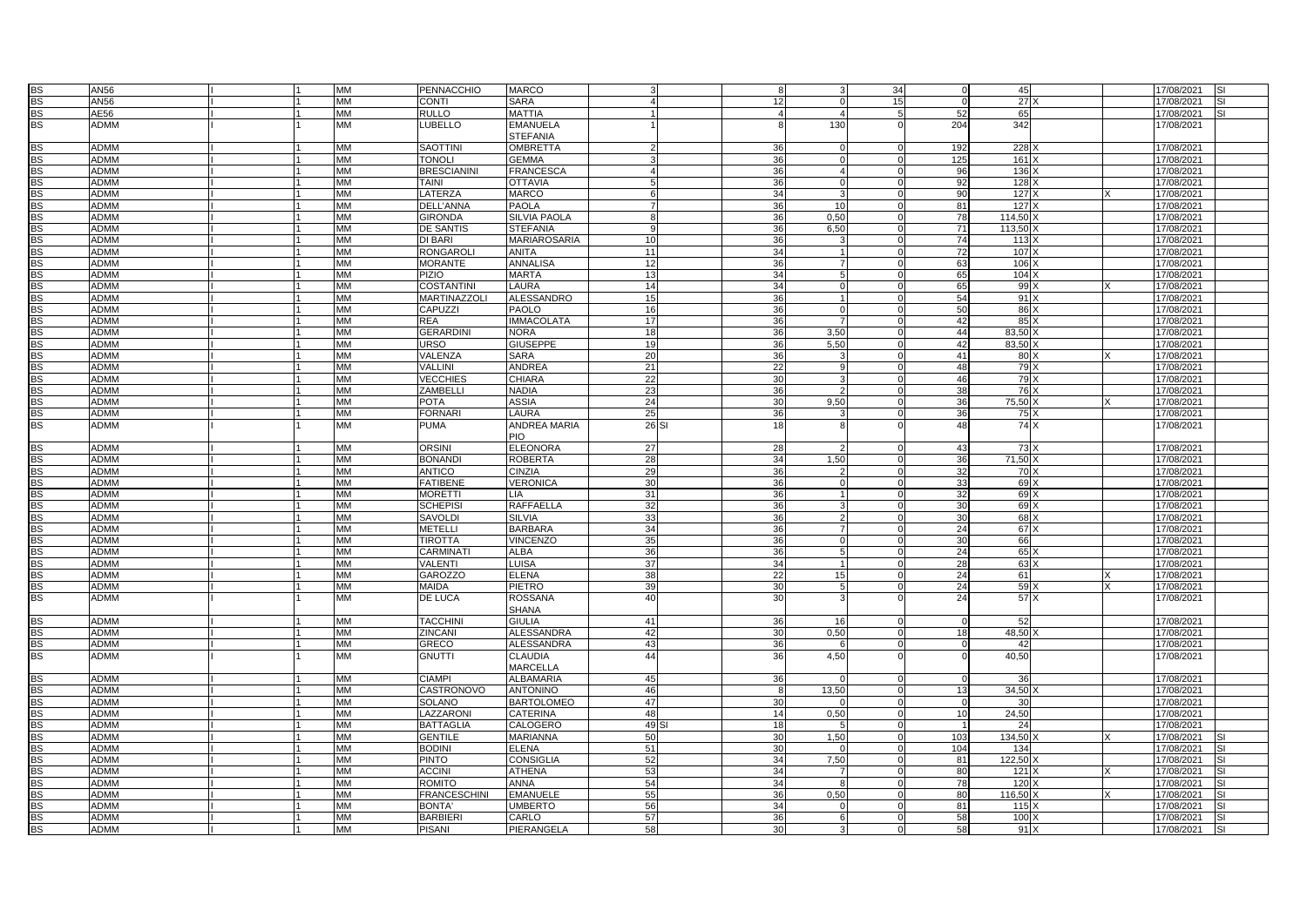| <b>BS</b> | <b>AN56</b> |  | <b>MM</b> | PENNACCHIO           | <b>MARCO</b>        |                 |       |          |                         | 34          |                 | 45              |          | 17/08/2021 | <b>SI</b>  |
|-----------|-------------|--|-----------|----------------------|---------------------|-----------------|-------|----------|-------------------------|-------------|-----------------|-----------------|----------|------------|------------|
| <b>BS</b> | AN56        |  | <b>MM</b> | CONTI                | <b>SARA</b>         |                 |       | 12       | $\Omega$                | 15          |                 | 27)             |          | 17/08/2021 | <b>SI</b>  |
| <b>BS</b> | AE56        |  | <b>MM</b> | <b>RULLO</b>         | <b>MATTIA</b>       |                 |       |          | $\overline{\mathbf{4}}$ | -5          | 52              | 65              |          | 17/08/2021 | SI.        |
| <b>BS</b> | ADMM        |  | MM        | LUBELLO              | <b>EMANUELA</b>     |                 |       |          | 130                     |             | 204             | 342             |          | 17/08/2021 |            |
|           |             |  |           |                      | <b>STEFANIA</b>     |                 |       |          |                         |             |                 |                 |          |            |            |
|           | <b>ADMM</b> |  | MM        | <b>SAOTTIN</b>       | <b>OMBRETTA</b>     |                 |       |          | $\Omega$                |             | 192             | 228             |          | 17/08/2021 |            |
| BS        | <b>ADMM</b> |  | <b>MM</b> | <b>TONOLI</b>        | <b>GEMMA</b>        |                 |       | 36       | $\Omega$                | $\Omega$    | 125             | 161             |          | 17/08/2021 |            |
| <b>BS</b> |             |  |           |                      |                     |                 |       | 36       |                         |             |                 |                 |          |            |            |
| <b>BS</b> | ADMM        |  | MM        | <b>BRESCIANINI</b>   | <b>FRANCESCA</b>    |                 |       | 36       | $\overline{4}$          | $\Omega$    | 96              | 136             |          | 17/08/2021 |            |
| <b>BS</b> | ADMM        |  | <b>MM</b> | <b>TAINI</b>         | <b>OTTAVIA</b>      | 5               |       | 36       | $\Omega$                |             | 92              | 128             |          | 17/08/2021 |            |
| <b>BS</b> | <b>ADMM</b> |  | <b>MM</b> | LATERZA              | <b>MARCO</b>        | 6               |       | 34       |                         | $\Omega$    | -90             | 127)            |          | 17/08/2021 |            |
| <b>BS</b> | ADMM        |  | MM        | DELL'ANNA            | PAOLA               | $\overline{7}$  |       | 36       | 10                      | $\Omega$    | 81              | 127)            |          | 17/08/2021 |            |
| <b>BS</b> | <b>ADMM</b> |  | MM        | <b>GIRONDA</b>       | <b>SILVIA PAOLA</b> | 8               |       | 36       | 0,50                    | $\mathbf 0$ | 78              | 114,50          |          | 17/08/2021 |            |
| <b>BS</b> | <b>ADMM</b> |  | <b>MM</b> | DE SANTIS            | <b>STEFANIA</b>     | $\mathbf{q}$    |       | 36       | 6,50                    | $\Omega$    | 71              | 113,50          |          | 17/08/2021 |            |
| <b>BS</b> | <b>ADMM</b> |  | <b>MM</b> | DI BARI              | <b>MARIAROSARIA</b> | 10 <sup>1</sup> |       | 36       |                         | $\Omega$    | 74              | 113             |          | 17/08/2021 |            |
| <b>BS</b> | ADMM        |  | <b>MM</b> | <b>RONGAROLI</b>     | <b>ANITA</b>        | 11              |       | 34       |                         |             | $\overline{72}$ | 107             |          | 17/08/2021 |            |
| <b>BS</b> | ADMM        |  | <b>MM</b> | <b>MORANTE</b>       | <b>ANNALISA</b>     | 12              |       | 36       |                         | $\Omega$    | 63              | 106             |          | 17/08/2021 |            |
| <b>BS</b> | <b>ADMM</b> |  | <b>MM</b> | <b>PIZIO</b>         | <b>MARTA</b>        | 13              |       | 34       | 5                       | $\Omega$    | 65              | 104             |          | 17/08/2021 |            |
| BS        | <b>ADMM</b> |  | <b>MM</b> | <b>COSTANTINI</b>    | LAURA               | 14              |       | 34       | $\Omega$                | $\Omega$    | 65              | 99              |          | 17/08/2021 |            |
| <b>BS</b> | <b>ADMM</b> |  | <b>MM</b> | <b>MARTINAZZOLI</b>  | <b>ALESSANDRO</b>   | 15              |       | 36       |                         | $\Omega$    | 54              | $91 \times$     |          | 17/08/2021 |            |
| <b>BS</b> | <b>ADMM</b> |  | <b>MM</b> | CAPUZZI              | PAOLO               | 16              |       | 36       | $\Omega$                |             | 50              | 86              |          | 17/08/2021 |            |
| <b>BS</b> | <b>ADMM</b> |  | <b>MM</b> | <b>REA</b>           | <b>IMMACOLATA</b>   | 17              |       | 36       |                         | $\Omega$    | 42              | 85 X            |          | 17/08/2021 |            |
| <b>BS</b> | ADMM        |  | <b>MM</b> | <b>GERARDINI</b>     | <b>NORA</b>         | 18              |       | 36       | 3,50                    |             | 44              | 83,50           |          | 17/08/2021 |            |
| <b>BS</b> | <b>ADMM</b> |  | <b>MM</b> | <b>URSO</b>          | <b>GIUSEPPE</b>     | 19              |       | 36       | 5,50                    | $\Omega$    | 42              | 83,50           |          | 17/08/2021 |            |
| <b>BS</b> | <b>ADMM</b> |  | <b>MM</b> | VALENZA              | <b>SARA</b>         | 20              |       | 36       | 3                       | $\Omega$    | 41              | 80 <sub>2</sub> | $\times$ | 17/08/2021 |            |
| <b>BS</b> | <b>ADMM</b> |  | MM        | VALLINI              | ANDREA              | 21              |       | 22       | ۹                       |             | 48              | 79)             |          | 17/08/2021 |            |
| <b>BS</b> | ADMM        |  | <b>MM</b> | <b>VECCHIES</b>      | <b>CHIARA</b>       | 22              |       | 30       | 3                       |             | 46              | 79 X            |          | 17/08/2021 |            |
| <b>BS</b> | <b>ADMM</b> |  | MM        | ZAMBELLI             | NADIA               | 23              |       |          |                         |             | 38              | 76X             |          |            |            |
|           | <b>ADMM</b> |  | <b>MM</b> | <b>POTA</b>          |                     |                 |       | 36<br>30 | 9.50                    | $\Omega$    |                 |                 |          | 17/08/2021 |            |
| <b>BS</b> |             |  | <b>MM</b> |                      | <b>ASSIA</b>        | 24<br>25        |       |          |                         |             | 36              | 75,50 X<br>75   |          | 17/08/2021 |            |
| <b>BS</b> | ADMM        |  |           | <b>FORNARI</b>       | LAURA               |                 |       | 36       |                         |             | 36              |                 |          | 17/08/2021 |            |
| <b>BS</b> | ADMM        |  | MM        | <b>PUMA</b>          | ANDREA MARIA        |                 | 26 SI | 18       |                         |             | 48              | 74 X            |          | 17/08/2021 |            |
|           |             |  |           |                      | <b>PIO</b>          |                 |       |          |                         |             |                 |                 |          |            |            |
| <b>BS</b> | <b>ADMM</b> |  | <b>MM</b> | <b>ORSINI</b>        | <b>ELEONORA</b>     | 27              |       | 28       |                         |             | 43              | 73)             |          | 17/08/2021 |            |
| <b>BS</b> | <b>MMGA</b> |  | <b>MM</b> | <b>BONANDI</b>       | ROBERTA             | 28              |       | 34       | 1,50                    |             | 36              | 71,50           |          | 17/08/2021 |            |
| <b>BS</b> | <b>ADMM</b> |  | <b>MM</b> | <b>ANTICO</b>        | <b>CINZIA</b>       | 29              |       | 36       |                         |             | 32              | 70 <sub>2</sub> |          | 17/08/2021 |            |
| BS        | <b>ADMM</b> |  | <b>MM</b> | <b>FATIBENE</b>      | <b>VERONICA</b>     | 30              |       | 36       |                         | $\Omega$    | 33              | 69              |          | 17/08/2021 |            |
| <b>BS</b> | <b>ADMM</b> |  | <b>MM</b> | <b>MORETTI</b>       | LIA                 | 31              |       | 36       |                         | $\Omega$    | 32              | 69X             |          | 17/08/2021 |            |
| <b>BS</b> | ADMM        |  | <b>MM</b> | <b>SCHEPISI</b>      | RAFFAELLA           | 32              |       | 36       |                         | $\Omega$    | 30              | 69)             |          | 17/08/2021 |            |
| <b>BS</b> | ADMM        |  | MM        | <b>SAVOLDI</b>       | SILVIA              | 33              |       | 36       |                         | $\Omega$    | <b>30</b>       | 68              |          | 17/08/2021 |            |
| <b>BS</b> | <b>ADMM</b> |  | <b>MM</b> | <b>METELLI</b>       | <b>BARBARA</b>      | 34              |       | 36       |                         |             | 24              | 67)             |          | 17/08/2021 |            |
| <b>BS</b> | ADMM        |  | <b>MM</b> | <b>TIROTTA</b>       | VINCENZO            | 35              |       | 36       | $\Omega$                |             | 30              | 66              |          | 17/08/2021 |            |
| <b>BS</b> | <b>ADMM</b> |  | MM        | CARMINA <sup>T</sup> | ALBA                | 36              |       | 36       |                         | $\Omega$    | 24              | 65              |          | 17/08/2021 |            |
| <b>BS</b> | <b>ADMM</b> |  | MM        | VALENTI              | LUISA               | 37              |       | 34       |                         | $\Omega$    | 28              | 63)             |          | 17/08/2021 |            |
| <b>BS</b> | ADMM        |  | <b>MM</b> | <b>GAROZZO</b>       | <b>ELENA</b>        | 38              |       | 22       | 15                      | $\Omega$    | 24              | 61              |          | 17/08/2021 |            |
| <b>BS</b> | <b>ADMM</b> |  | <b>MM</b> | <b>MAIDA</b>         | PIETRO              | 39              |       | 30       |                         |             | 24              | 59              |          | 17/08/2021 |            |
| BS        | ADMM        |  | MM        | DE LUCA              | ROSSANA             | 40              |       | 30       |                         |             | 24              | 57 X            |          | 17/08/2021 |            |
|           |             |  |           |                      | <b>SHANA</b>        |                 |       |          |                         |             |                 |                 |          |            |            |
| BS        | ADMM        |  | MM        | <b>TACCHIN</b>       | <b>GIULIA</b>       | 41              |       | 36       | 16                      |             | $\Omega$        | 52              |          | 17/08/2021 |            |
| <b>BS</b> | <b>ADMM</b> |  | <b>MM</b> | ZINCANI              | ALESSANDRA          | 42              |       | 30       | 0.50                    | $\Omega$    | 18              | 48.50           |          | 17/08/2021 |            |
| <b>BS</b> | ADMM        |  | MM        | <b>GRECO</b>         | <b>ALESSANDRA</b>   | 43              |       | 36       |                         |             |                 | 42              |          | 17/08/2021 |            |
| <b>BS</b> | ADMM        |  | <b>MM</b> | <b>GNUTTI</b>        | CLAUDIA             | 44              |       | 36       | 4,50                    |             |                 | 40,50           |          | 17/08/2021 |            |
|           |             |  |           |                      | <b>MARCELLA</b>     |                 |       |          |                         |             |                 |                 |          |            |            |
| <b>BS</b> | <b>ADMM</b> |  | <b>MM</b> | <b>CIAMPI</b>        | <b>ALBAMARIA</b>    | 45              |       | 36       |                         |             | $\Omega$        | 36              |          | 17/08/2021 |            |
| <b>BS</b> | ADMM        |  | <b>MM</b> | CASTRONOVO           | <b>ANTONINO</b>     | 46              |       | 8        | 13,50                   |             | 13              | 34,50           |          | 17/08/2021 |            |
| <b>BS</b> | <b>ADMM</b> |  | <b>MM</b> | SOLANO               | <b>BARTOLOMEO</b>   | 47              |       | 30       |                         | $\Omega$    | $\Omega$        | 30              |          | 17/08/2021 |            |
| <b>BS</b> | ADMM        |  | <b>MM</b> | LAZZARONI            | CATERINA            | 48              |       | 14       | 0,50                    | $\Omega$    | 10              | 24,50           |          | 17/08/2021 |            |
| <b>BS</b> | ADMM        |  | <b>MM</b> | <b>BATTAGLIA</b>     | CALOGERO            | 49              |       | 18       |                         |             |                 | 24              |          | 17/08/2021 |            |
| <b>BS</b> | ADMM        |  | <b>MM</b> | <b>GENTILE</b>       | <b>MARIANNA</b>     | 50              |       | 30       | 1,50                    | $\Omega$    | 103             | 134,50          |          | 17/08/2021 | SI         |
| <b>BS</b> | <b>ADMM</b> |  | <b>MM</b> | <b>BODINI</b>        | ELENA               | 51              |       | 30       |                         | $\Omega$    | 104             | 134             |          | 17/08/2021 | SI         |
| BS        | ADMM        |  | <b>MM</b> | <b>PINTO</b>         | CONSIGLIA           | 52              |       | 34       | 7,50                    | $\Omega$    | 81              | 122,50          |          | 17/08/2021 | <b>SI</b>  |
| <b>BS</b> | <b>ADMM</b> |  | <b>MM</b> | <b>ACCINI</b>        | <b>ATHENA</b>       | 53              |       | 34       |                         |             | 80              | $121 \rangle$   |          | 17/08/2021 | <b>ISI</b> |
| <b>BS</b> | <b>ADMM</b> |  | MM        | <b>ROMITO</b>        | ANNA                | 54              |       | 34       | -8                      | $\Omega$    | 78              | 120             |          | 17/08/2021 | <b>SI</b>  |
| <b>BS</b> | <b>ADMM</b> |  | MM        | <b>FRANCESCHINI</b>  | <b>EMANUELE</b>     | 55              |       | 36       | 0.50                    | $\Omega$    | 80              | $116.50$ )      | x        | 17/08/2021 | SI         |
| <b>BS</b> | ADMM        |  | <b>MM</b> | <b>BONTA</b>         | <b>UMBERTO</b>      | 56              |       | 34       |                         |             | 81              | 115             |          | 17/08/2021 | SI         |
| <b>BS</b> | ADMM        |  | <b>MM</b> | <b>BARBIER</b>       | CARLO               | 57              |       | 36       | 6                       |             | 58              | 100             |          | 17/08/2021 | SI         |
| <b>BS</b> | <b>ADMM</b> |  | <b>MM</b> | <b>PISANI</b>        | PIERANGELA          | 58              |       | 30       | 3                       | $\Omega$    | 58              | 91 X            |          | 17/08/2021 | <b>SI</b>  |
|           |             |  |           |                      |                     |                 |       |          |                         |             |                 |                 |          |            |            |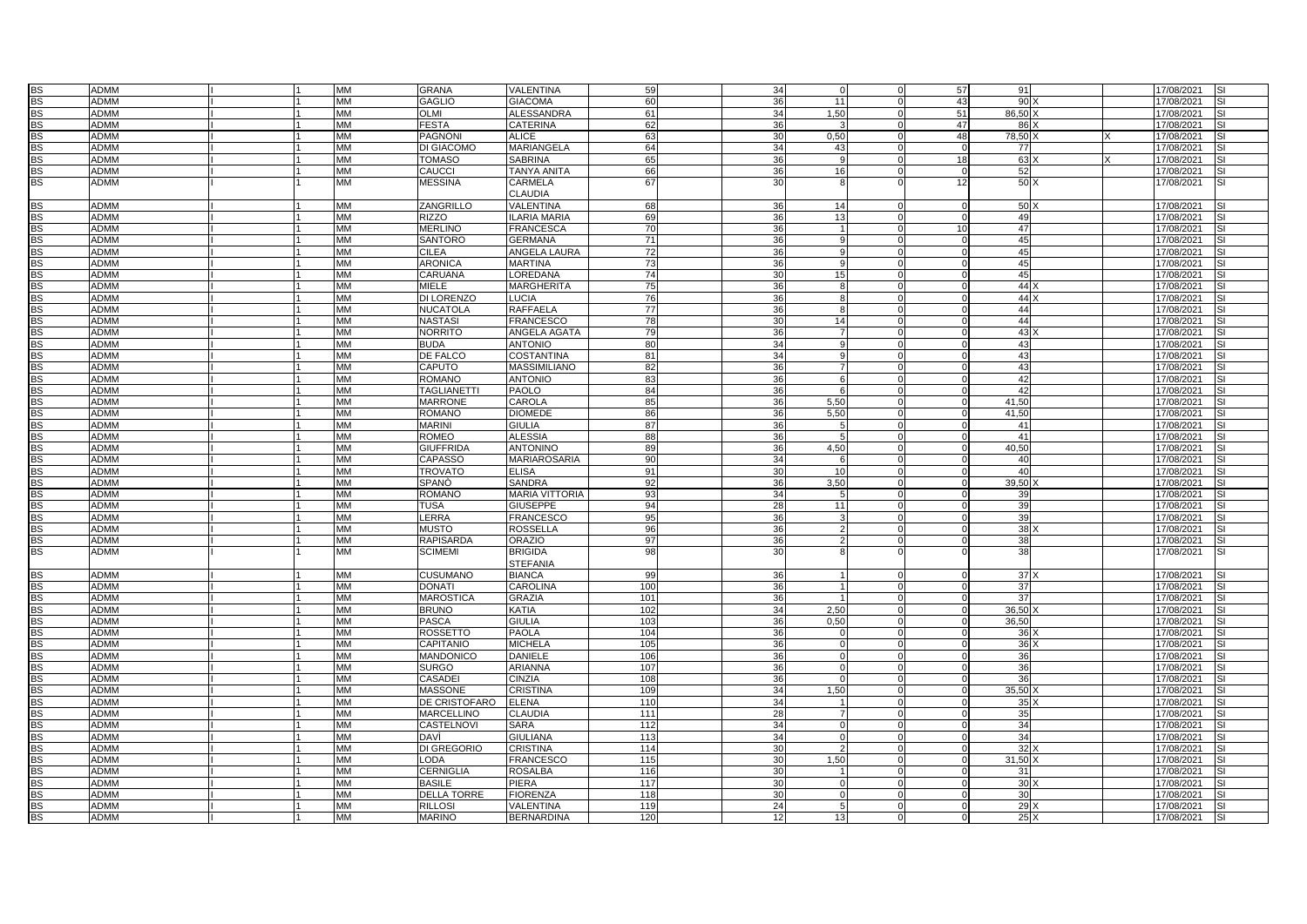| <b>BS</b> | ADMM        |  | MM        | <b>GRANA</b>       | VALENTINA             | 59              | 34              | $\Omega$        | $\Omega$ | 57             | 91              |  | 17/08/2021 | <b>SI</b> |
|-----------|-------------|--|-----------|--------------------|-----------------------|-----------------|-----------------|-----------------|----------|----------------|-----------------|--|------------|-----------|
| <b>BS</b> | <b>ADMM</b> |  | <b>MM</b> | <b>GAGLIO</b>      | <b>GIACOMA</b>        | 60              | 36              | 11              | $\Omega$ | 43             | 90              |  | 17/08/2021 | SI        |
| <b>BS</b> | <b>ADMM</b> |  | <b>MM</b> | <b>OLMI</b>        | <b>ALESSANDRA</b>     | 61              | 34              | 1.50            | $\Omega$ | 51             | 86.50 X         |  | 17/08/2021 |           |
|           |             |  |           |                    |                       |                 |                 |                 | $\Omega$ |                |                 |  |            |           |
| <b>BS</b> | <b>ADMM</b> |  | <b>MM</b> | <b>FESTA</b>       | CATERINA              | 62              | 36              |                 |          | 47             | $86$ )          |  | 17/08/2021 |           |
| <b>BS</b> | <b>ADMM</b> |  | <b>MM</b> | <b>PAGNONI</b>     | <b>ALICE</b>          | 63              | 30              | 0,50            |          | 48             | 78,50           |  | 17/08/2021 | SI        |
| <b>BS</b> | <b>ADMM</b> |  | MM        | DI GIACOMO         | MARIANGELA            | 64              | 34              | 43              | $\Omega$ | $\Omega$       | 77              |  | 17/08/2021 |           |
| <b>BS</b> | ADMM        |  | MM        | <b>TOMASO</b>      | <b>SABRINA</b>        | 65              | 36              |                 | $\Omega$ | 18             | 63              |  | 17/08/2021 |           |
| <b>BS</b> | <b>ADMM</b> |  | <b>MM</b> | CAUCCI             | <b>TANYA ANITA</b>    | 66              | 36              | 16 <sup>1</sup> | $\Omega$ | $\Omega$       | 52              |  | 17/08/2021 |           |
| <b>BS</b> | <b>ADMM</b> |  | <b>MM</b> | <b>MESSINA</b>     | CARMELA               | 67              | 30              |                 | $\Omega$ | 12             | 50 X            |  | 17/08/2021 |           |
|           |             |  |           |                    | <b>CLAUDIA</b>        |                 |                 |                 |          |                |                 |  |            |           |
| <b>BS</b> | ADMM        |  | MM        | ZANGRILLO          | VALENTINA             | 68              | 36              | 14              | $\Omega$ | $\Omega$       | $50$ )          |  | 17/08/2021 |           |
| <b>BS</b> | <b>ADMM</b> |  | <b>MM</b> | <b>RIZZO</b>       | <b>ILARIA MARIA</b>   | 69              | 36              | 13              | $\Omega$ | $\overline{0}$ | 49              |  | 17/08/2021 |           |
| <b>BS</b> | ADMM        |  | MM        | <b>MERLINO</b>     | <b>FRANCESCA</b>      | 70              | 36              | $\overline{1}$  | $\Omega$ | 10             | 47              |  | 17/08/2021 |           |
| <b>BS</b> | <b>ADMM</b> |  | <b>MM</b> | <b>SANTORO</b>     | <b>GERMANA</b>        | $\overline{71}$ | 36              | a               | $\Omega$ | $\Omega$       | 45              |  | 17/08/2021 |           |
| <b>BS</b> | ADMM        |  | <b>MM</b> | <b>CILEA</b>       | ANGELA LAURA          | 72              | 36              | q               | $\Omega$ | $\overline{0}$ | 45              |  | 17/08/2021 |           |
| <b>BS</b> | ADMM        |  | MM        | <b>ARONICA</b>     | <b>MARTINA</b>        | 73              | 36              |                 | $\Omega$ | $\Omega$       | 45              |  | 17/08/2021 |           |
| <b>BS</b> | <b>ADMM</b> |  | <b>MM</b> | CARUANA            | LOREDANA              | 74              | 30              | 15              | $\Omega$ | $\Omega$       | 45              |  | 17/08/2021 | SI        |
| <b>BS</b> | <b>ADMM</b> |  | <b>MM</b> | <b>MIELE</b>       | <b>MARGHERITA</b>     | 75              | 36              | 8               | $\Omega$ | $\Omega$       | 44X             |  | 17/08/2021 |           |
| <b>BS</b> | <b>ADMM</b> |  | MM        | <b>DI LORENZO</b>  | LUCIA                 | 76              | 36              | 8               | $\Omega$ | $\Omega$       | 44X             |  | 17/08/2021 | SI        |
| <b>BS</b> | <b>ADMM</b> |  | MM        | <b>NUCATOLA</b>    | <b>RAFFAELA</b>       | 77              | 36              | <sub>8</sub>    | $\Omega$ | $\Omega$       | 44              |  |            | SI        |
|           |             |  | <b>MM</b> |                    |                       |                 |                 |                 |          |                |                 |  | 17/08/2021 |           |
| <b>BS</b> | <b>ADMM</b> |  |           | <b>NASTASI</b>     | <b>FRANCESCO</b>      | 78              | 30              | 14              | $\Omega$ | $\Omega$       | 44              |  | 17/08/2021 |           |
| <b>BS</b> | ADMM        |  | MM        | <b>NORRITO</b>     | ANGELA AGATA          | 79              | 36              | $\overline{7}$  | $\Omega$ | $\Omega$       | 43)             |  | 17/08/2021 |           |
| <b>BS</b> | <b>ADMM</b> |  | <b>MM</b> | <b>BUDA</b>        | <b>ANTONIO</b>        | 80              | 34              | q               |          |                | 43              |  | 17/08/2021 |           |
| <b>BS</b> | <b>ADMM</b> |  | <b>MM</b> | DE FALCO           | <b>COSTANTINA</b>     | 81              | 34              | <b>q</b>        | $\Omega$ | $\Omega$       | 43              |  | 17/08/2021 |           |
| <b>BS</b> | ADMM        |  | МM        | CAPUTO             | <b>MASSIMILIANO</b>   | 82              | 36              | $\overline{7}$  | $\Omega$ | $\Omega$       | 43              |  | 17/08/2021 | SI        |
| <b>BS</b> | <b>ADMM</b> |  | <b>MM</b> | <b>ROMANO</b>      | <b>ANTONIO</b>        | 83              | 36              | 6               | $\Omega$ | $\Omega$       | 42              |  | 17/08/2021 |           |
| <b>BS</b> | <b>ADMM</b> |  | <b>MM</b> | <b>TAGLIANETTI</b> | <b>PAOLO</b>          | 84              | 36              | 6               | $\Omega$ | $\Omega$       | 42              |  | 17/08/2021 |           |
| <b>BS</b> | ADMM        |  | MM        | <b>MARRONE</b>     | CAROLA                | 85              | 36              | 5,50            | $\Omega$ | $\Omega$       | 41,50           |  | 17/08/2021 | SI        |
| <b>BS</b> | <b>ADMM</b> |  | <b>MM</b> | <b>ROMANO</b>      | <b>DIOMEDE</b>        | 86              | 36              | 5,50            | $\Omega$ | $\Omega$       | 41.50           |  | 17/08/2021 | SI        |
| <b>BS</b> | ADMM        |  | MM        | <b>MARINI</b>      | <b>GIULIA</b>         | 87              | 36              | 5               | $\Omega$ | $\Omega$       | 41              |  | 17/08/2021 |           |
| <b>BS</b> | ADMM        |  | MM        | <b>ROMEO</b>       | <b>ALESSIA</b>        | 88              | 36              |                 | $\Omega$ |                | 41              |  | 17/08/2021 |           |
| <b>BS</b> | <b>ADMM</b> |  | <b>MM</b> | <b>GIUFFRIDA</b>   | <b>ANTONINO</b>       | 89              | 36              | 4,50            | $\Omega$ | $\Omega$       | 40,50           |  | 17/08/2021 |           |
| <b>BS</b> | <b>ADMM</b> |  | <b>MM</b> | <b>CAPASSO</b>     | <b>MARIAROSARIA</b>   | 90              | 34              | 6               | $\Omega$ | $\overline{0}$ | 40              |  | 17/08/2021 |           |
| <b>BS</b> | ADMM        |  | MM        | <b>TROVATO</b>     | <b>ELISA</b>          | 91              | 30              | 10 <sup>1</sup> | $\Omega$ | $\Omega$       | 40              |  | 17/08/2021 | SI        |
| <b>BS</b> | <b>ADMM</b> |  | MM        | SPANO              | SANDRA                | 92              | 36              | 3,50            | $\Omega$ | $\Omega$       | 39,50           |  | 17/08/2021 | SI        |
| <b>BS</b> | ADMM        |  | MM        | <b>ROMANO</b>      | <b>MARIA VITTORIA</b> | 93              | 34              | 5               | $\Omega$ | $\Omega$       | 39              |  | 17/08/2021 |           |
| <b>BS</b> | <b>ADMM</b> |  | MM        | <b>TUSA</b>        | <b>GIUSEPPE</b>       | 94              | 28              | 11              | $\Omega$ | $\Omega$       | 39              |  | 17/08/2021 |           |
| <b>BS</b> | <b>ADMM</b> |  | MМ        | LERRA              | <b>FRANCESCO</b>      | 95              | 36              |                 | $\Omega$ | $\Omega$       | 39              |  | 17/08/2021 | SI        |
| <b>BS</b> | <b>ADMM</b> |  | <b>MM</b> | <b>MUSTO</b>       | <b>ROSSELLA</b>       | 96              | 36              | 2               | $\Omega$ | $\Omega$       | 38)             |  | 17/08/2021 |           |
| <b>BS</b> | ADMM        |  | MM        | <b>RAPISARDA</b>   | <b>ORAZIO</b>         | 97              | 36              | $\mathcal{P}$   | $\Omega$ | $\Omega$       | 38              |  | 17/08/2021 | SI        |
| <b>BS</b> | <b>ADMM</b> |  | <b>MM</b> | <b>SCIMEMI</b>     | <b>BRIGIDA</b>        | 98              | 30              |                 |          |                | 38              |  | 17/08/2021 | SI        |
|           |             |  |           |                    | <b>STEFANIA</b>       |                 |                 |                 |          |                |                 |  |            |           |
|           |             |  |           | <b>CUSUMANO</b>    |                       | 99              |                 | $\mathbf{1}$    | $\Omega$ |                | 37X             |  |            |           |
| <b>BS</b> | <b>ADMM</b> |  | MM        |                    | <b>BIANCA</b>         |                 | 36              |                 |          |                |                 |  | 17/08/2021 | SI        |
| <b>BS</b> | <b>ADMM</b> |  | <b>MM</b> | <b>DONATI</b>      | CAROLINA              | 100             | 36              |                 | $\Omega$ | $\Omega$       | 37              |  | 17/08/2021 | SI        |
| <b>BS</b> | <b>ADMM</b> |  | <b>MM</b> | <b>MAROSTICA</b>   | <b>GRAZIA</b>         | 101             | 36              | $\mathbf{1}$    | $\Omega$ | $\Omega$       | 37              |  | 17/08/2021 |           |
| <b>BS</b> | <b>ADMM</b> |  | MM        | <b>BRUNO</b>       | <b>KATIA</b>          | 102             | 34              | 2,50            | $\Omega$ | $\Omega$       | 36,50           |  | 17/08/2021 | SI        |
| <b>BS</b> | <b>ADMM</b> |  | <b>MM</b> | <b>PASCA</b>       | <b>GIULIA</b>         | 103             | 36              | 0,50            | $\Omega$ | $\Omega$       | 36,50           |  | 17/08/2021 | SI        |
| <b>BS</b> | <b>ADMM</b> |  | <b>MM</b> | <b>ROSSETTO</b>    | <b>PAOLA</b>          | 104             | 36              |                 | $\Omega$ | $\Omega$       | 36              |  | 17/08/2021 |           |
| <b>BS</b> | <b>ADMM</b> |  | MM        | CAPITANIO          | <b>MICHELA</b>        | 105             | 36              | $\Omega$        | $\Omega$ | $\Omega$       | 36              |  | 17/08/2021 |           |
| <b>BS</b> | <b>ADMM</b> |  | MM        | <b>MANDONICO</b>   | <b>DANIELE</b>        | 106             | 36 <sup>1</sup> | $\Omega$        | $\Omega$ | $\Omega$       | 36              |  | 17/08/2021 |           |
| <b>BS</b> | <b>ADMM</b> |  | MM        | <b>SURGO</b>       | <b>ARIANNA</b>        | 107             | 36              | $\Omega$        | $\Omega$ | $\Omega$       | 36              |  | 17/08/2021 |           |
| <b>BS</b> | <b>ADMM</b> |  | MM        | CASADEI            | CINZIA                | 108             | 36              | $\Omega$        | $\Omega$ | $\Omega$       | 36              |  | 17/08/2021 | SI        |
| <b>BS</b> | <b>ADMM</b> |  | <b>MM</b> | <b>MASSONE</b>     | <b>CRISTINA</b>       | 109             | 34              | 1.50            | $\Omega$ | $\Omega$       | $35,50$ )       |  | 17/08/2021 | SI        |
| <b>BS</b> | <b>ADMM</b> |  | <b>MM</b> | DE CRISTOFARO      | <b>ELENA</b>          | 110             | 34              | $\mathbf 1$     | $\Omega$ | $\Omega$       | 35)             |  | 17/08/2021 |           |
| <b>BS</b> | <b>ADMM</b> |  | MM        | <b>MARCELLINO</b>  | CLAUDIA               | 111             | 28              | $\overline{7}$  | $\Omega$ | $\Omega$       | 35              |  | 17/08/2021 | SI        |
| <b>BS</b> | <b>ADMM</b> |  | <b>MM</b> | CASTELNOVI         | SARA                  | 112             | 34              | $\Omega$        | $\Omega$ | $\overline{0}$ | 34              |  | 17/08/2021 | SI        |
| <b>BS</b> | <b>ADMM</b> |  | <b>MM</b> | <b>DAVI</b>        | <b>GIULIANA</b>       | 113             | 34              | $\Omega$        | $\Omega$ | $\overline{0}$ | 34              |  | 17/08/2021 |           |
| <b>BS</b> | <b>ADMM</b> |  | MM        | <b>DI GREGORIO</b> | <b>CRISTINA</b>       | 114             | 30 <sup>1</sup> | $\mathfrak{p}$  | $\Omega$ | $\Omega$       | 32              |  | 17/08/2021 |           |
| <b>BS</b> | <b>ADMM</b> |  | <b>MM</b> | <b>LODA</b>        | <b>FRANCESCO</b>      | 115             | 30              | 1,50            | $\Omega$ | $\overline{0}$ | 31,50 X         |  | 17/08/2021 | SI        |
| <b>BS</b> | <b>ADMM</b> |  | <b>MM</b> | <b>CERNIGLIA</b>   | <b>ROSALBA</b>        | 116             | 30              | -1              | $\Omega$ | $\Omega$       | 31              |  | 17/08/2021 |           |
| <b>BS</b> | ADMM        |  | MM        | <b>BASILE</b>      | <b>PIERA</b>          | 117             | 30 <sup>1</sup> | $\Omega$        | $\Omega$ | $\Omega$       | 30 <sub>2</sub> |  | 17/08/2021 | SI        |
| <b>BS</b> | <b>ADMM</b> |  | <b>MM</b> | <b>DELLA TORRE</b> | <b>FIORENZA</b>       | 118             | 30 <sup>1</sup> | $\Omega$        | $\Omega$ | $\Omega$       | 30              |  | 17/08/2021 |           |
| <b>BS</b> | <b>ADMM</b> |  | <b>MM</b> | <b>RILLOSI</b>     | VALENTINA             | 119             | 24              | 5               | $\Omega$ | $\Omega$       | 29)             |  | 17/08/2021 |           |
| <b>BS</b> | <b>ADMM</b> |  | MM        | <b>MARINO</b>      | <b>BERNARDINA</b>     | 120             | 12              | 13              | $\Omega$ | $\Omega$       | 25X             |  | 17/08/2021 | SI        |
|           |             |  |           |                    |                       |                 |                 |                 |          |                |                 |  |            |           |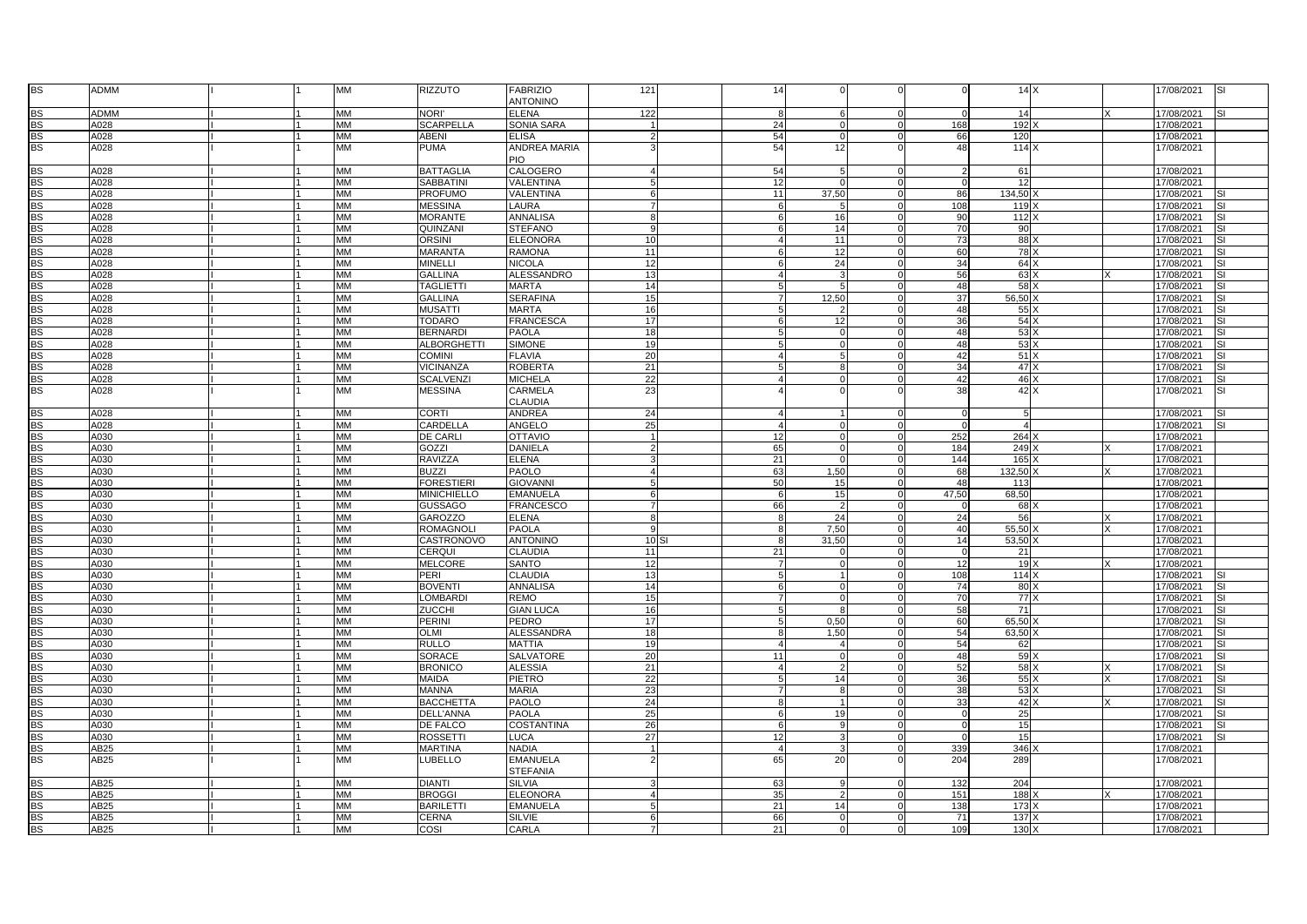| <b>BS</b>              | ADMM         |  | MM                     | RIZZUTO                | <b>FABRIZIO</b><br>ANTONINO       | 121             | 14       |                      |                         |                 | 14X         |          | 17/08/2021 | SI  |
|------------------------|--------------|--|------------------------|------------------------|-----------------------------------|-----------------|----------|----------------------|-------------------------|-----------------|-------------|----------|------------|-----|
|                        |              |  |                        | <b>NORI'</b>           | <b>ELENA</b>                      |                 |          | 6                    | $\Omega$                | $\Omega$        |             |          |            |     |
| <b>BS</b>              | ADMM         |  | MM                     |                        |                                   | 122             |          |                      |                         |                 | 14          |          | 17/08/2021 |     |
| <b>BS</b>              | A028         |  | MM                     | <b>SCARPELLA</b>       | <b>SONIA SARA</b>                 |                 | 24       | $\Omega$<br>$\Omega$ | $\mathbf 0$<br>$\Omega$ | 168             | 192         |          | 17/08/2021 |     |
| <b>BS</b>              | A028         |  | <b>MM</b>              | <b>ABENI</b>           | <b>ELISA</b>                      |                 | 54       |                      |                         | 66              | 120         |          | 17/08/2021 |     |
| <b>BS</b>              | A028         |  | <b>MM</b>              | <b>PUMA</b>            | ANDREA MARIA<br>PIO               |                 | 54       | 12                   | $\Omega$                | 48              | 114 X       |          | 17/08/2021 |     |
| <b>BS</b>              | A028         |  | MM                     | <b>BATTAGLIA</b>       | <b>CALOGERO</b>                   | $\Delta$        | 54       |                      | $\Omega$                | $\overline{2}$  | 61          |          | 17/08/2021 |     |
| <b>BS</b>              | A028         |  | <b>MM</b>              | <b>SABBATINI</b>       | VALENTINA                         |                 | 12       |                      | $\Omega$                | $\Omega$        | 12          |          | 17/08/2021 |     |
| <b>BS</b>              | A028         |  | MM                     | <b>PROFUMO</b>         | VALENTINA                         | 6               | 11       | 37,50                | $\Omega$                | 86              | 134,50      |          | 17/08/2021 |     |
| <b>BS</b>              | A028         |  | <b>MM</b>              | <b>MESSINA</b>         | LAURA                             | $\overline{7}$  | - 6      | 5                    | $\Omega$                | 108             | 119         |          | 17/08/2021 |     |
| <b>BS</b>              | A028         |  | MM                     | <b>MORANTE</b>         | ANNALISA                          | R               |          | 16                   | $\Omega$                | 90              | 112         |          | 17/08/2021 |     |
| <b>BS</b>              | A028         |  | <b>MM</b>              | QUINZANI               | <b>STEFANO</b>                    | $\mathbf{q}$    |          | 14                   | $\Omega$                | 70              | 90          |          | 17/08/2021 | SI  |
| <b>BS</b>              | A028         |  | MM                     | <b>ORSINI</b>          | <b>ELEONORA</b>                   | 10              |          |                      |                         | 73              |             |          |            | SI  |
|                        |              |  | MM                     |                        |                                   | 11              |          | 11                   | 0<br>$\Omega$           | 60              | 88          |          | 17/08/2021 | SI. |
| <b>BS</b>              | A028         |  |                        | <b>MARANTA</b>         | <b>RAMONA</b>                     |                 |          | 12                   |                         |                 | 78 X        |          | 17/08/2021 |     |
| <b>BS</b>              | A028         |  | <b>MM</b>              | <b>MINELLI</b>         | <b>NICOLA</b>                     | 12              |          | 24                   | $\Omega$                | 34              | 64          |          | 17/08/2021 | SI  |
| <b>BS</b>              | A028         |  | <b>MM</b>              | <b>GALLINA</b>         | ALESSANDRO                        | 13              |          |                      | $\Omega$                | 56              | 63)         |          | 17/08/2021 | SI  |
| <b>BS</b>              | A028         |  | MM                     | <b>TAGLIETT</b>        | <b>MARTA</b>                      | 14              |          | -5                   | $\Omega$                | 48              | 58          |          | 17/08/2021 | SI  |
| <b>BS</b>              | A028         |  | MM                     | <b>GALLINA</b>         | <b>SERAFINA</b>                   | 15              |          | 12,50                | $\Omega$                | 37              | 56,50       |          | 17/08/2021 | SI  |
| <b>BS</b>              | A028         |  | <b>MM</b>              | <b>MUSATTI</b>         | <b>MARTA</b>                      | 16              |          |                      | $\Omega$                | 48              | $55 \times$ |          | 17/08/2021 | SI  |
| <b>BS</b>              | A028         |  | <b>MM</b>              | <b>TODARO</b>          | <b>FRANCESCA</b>                  | 17              |          | 12                   | $\Omega$                | 36              | $54 \times$ |          | 17/08/2021 | SI  |
| <b>BS</b>              | A028         |  | MM                     | <b>BERNARD</b>         | <b>PAOLA</b>                      | 18              |          |                      | $\Omega$                | 48              | 53          |          | 17/08/2021 | SI. |
| <b>BS</b>              | A028         |  | <b>MM</b>              | <b>ALBORGHETTI</b>     | <b>SIMONE</b>                     | 19              |          | $\Omega$             | $\Omega$                | 48              | 53)         |          | 17/08/2021 | SI. |
| <b>BS</b>              | A028         |  | <b>MM</b>              | <b>COMINI</b>          | <b>FLAVIA</b>                     | 20              |          | -5                   | $\Omega$                | 42              | $51 \times$ |          | 17/08/2021 | SI  |
| <b>BS</b>              | A028         |  | <b>MM</b>              | <b>VICINANZA</b>       | <b>ROBERTA</b>                    | 21              |          | 8                    | $\Omega$                | 34              | $47 \times$ |          | 17/08/2021 | S١  |
| <b>BS</b>              | A028         |  | MM                     | <b>SCALVENZI</b>       | <b>MICHELA</b>                    | 22              |          |                      |                         | 42              | 46          |          | 17/08/2021 |     |
| <b>BS</b>              | A028         |  | <b>MM</b>              | <b>MESSINA</b>         | CARMELA                           | 23              |          |                      | $\Omega$                | 38 <sup>1</sup> | 42X         |          | 17/08/2021 | SI  |
|                        |              |  |                        |                        | CLAUDIA                           |                 |          |                      |                         |                 |             |          |            |     |
| <b>BS</b>              | A028         |  | MM                     | <b>CORTI</b>           | <b>ANDREA</b>                     | 24              |          |                      | $\Omega$                | $\Omega$        | -5          |          | 17/08/2021 |     |
| <b>BS</b>              | A028         |  | <b>MM</b>              | CARDELLA               | ANGELO                            | 25              |          | $\Omega$             | $\Omega$                | $\Omega$        |             |          | 17/08/2021 | SI  |
| <b>BS</b>              | A030         |  | <b>MM</b>              | <b>DE CARLI</b>        | <b>OTTAVIO</b>                    |                 | 12       |                      | $\Omega$                | 252             | 264         |          | 17/08/2021 |     |
| <b>BS</b>              | A030         |  | MM                     | GOZZI                  | <b>DANIELA</b>                    |                 | 65       | $\Omega$             | $\Omega$                | 184             | 249         |          | 17/08/2021 |     |
| <b>BS</b>              | A030         |  | <b>MM</b>              | <b>RAVIZZA</b>         | <b>ELENA</b>                      |                 | 21       |                      | $\Omega$                | 144             | 165         |          | 17/08/2021 |     |
| <b>BS</b>              | A030         |  | MM                     | <b>BUZZI</b>           | PAOLO                             |                 | 63       | 1,50                 | $\Omega$                | 68              | 132,50      |          | 17/08/2021 |     |
| <b>BS</b>              | A030         |  | <b>MM</b>              | <b>FORESTIERI</b>      | <b>GIOVANNI</b>                   | 5               | 50       | 15                   | $\Omega$                | 48              | 113         |          | 17/08/2021 |     |
| <b>BS</b>              | A030         |  | MM                     | <b>MINICHIELLO</b>     | <b>EMANUELA</b>                   | 6               |          | 15                   | $\Omega$                | 47,50           | 68,50       |          | 17/08/2021 |     |
| <b>BS</b>              | A030         |  | <b>MM</b>              | <b>GUSSAGO</b>         | <b>FRANCESCO</b>                  |                 | 66       |                      | $\Omega$                | $\Omega$        | 68          |          | 17/08/2021 |     |
| <b>BS</b>              | A030         |  | <b>MM</b>              | <b>GAROZZO</b>         | <b>ELENA</b>                      | 8               |          | 24                   | $\Omega$                | 24              | 56          |          | 17/08/2021 |     |
| <b>BS</b>              | A030         |  | <b>MM</b>              | <b>ROMAGNOLI</b>       | <b>PAOLA</b>                      | q               |          | 7,50                 | $\Omega$                | 40 <sup>1</sup> | 55,50       | X        | 17/08/2021 |     |
| <b>BS</b>              | A030         |  | <b>MM</b>              | CASTRONOVO             | <b>ANTONINO</b>                   | 10S             |          | 31,50                | $\Omega$                | 14              | 53,50       |          | 17/08/2021 |     |
| <b>BS</b>              | A030         |  | <b>MM</b>              | CERQUI                 | <b>CLAUDIA</b>                    | 11              | 21       |                      | $\Omega$                | $\Omega$        | 21          |          | 17/08/2021 |     |
| <b>BS</b>              | A030         |  | <b>MM</b>              | <b>MELCORE</b>         | <b>SANTO</b>                      | 12              |          | $\Omega$             | $\Omega$                | 12              | 19          | $\times$ | 17/08/2021 |     |
|                        |              |  |                        |                        |                                   |                 |          |                      |                         |                 |             |          |            |     |
| <b>BS</b>              | A030         |  | <b>MM</b><br><b>MM</b> | PERI<br><b>BOVENTI</b> | <b>CLAUDIA</b><br><b>ANNALISA</b> | 13<br>14        |          |                      | $\Omega$<br>$\Omega$    | 108<br>74       | 114)        |          | 17/08/2021 | SI. |
| <b>BS</b><br><b>BS</b> | A030<br>A030 |  | MM                     | LOMBARD                | <b>REMO</b>                       | 15              |          | $\Omega$             |                         | 70              | 80<br>77    |          | 17/08/2021 |     |
|                        |              |  |                        |                        |                                   |                 |          | $\mathsf{R}$         | $\Omega$                |                 |             |          | 17/08/2021 | SI. |
| <b>BS</b>              | A030         |  | <b>MM</b>              | <b>ZUCCHI</b>          | <b>GIAN LUCA</b>                  | 16              |          |                      | $\Omega$                | 58              | 71          |          | 17/08/2021 |     |
| <b>BS</b>              | A030         |  | <b>MM</b>              | <b>PERINI</b>          | PEDRO                             | 17              |          | 0,50                 | $\mathbf 0$             | 60              | 65,50       |          | 17/08/2021 | SI. |
| <b>BS</b>              | A030         |  | <b>MM</b>              | OLMI                   | <b>ALESSANDRA</b>                 | 18              |          | 1,50                 | $\Omega$                | 54              | 63,50       |          | 17/08/2021 |     |
| <b>BS</b>              | A030         |  | <b>MM</b>              | <b>RULLO</b>           | MATTIA                            | 19              | $\Delta$ | $\overline{a}$       | $\Omega$                | 54              | 62          |          | 17/08/2021 | SI  |
| <b>BS</b>              | A030         |  | <b>MM</b>              | <b>SORACE</b>          | <b>SALVATORE</b>                  | 20              | 11       | $\Omega$             | $\Omega$                | 48              | 59          |          | 17/08/2021 |     |
| <b>BS</b>              | A030         |  | MM                     | <b>BRONICO</b>         | <b>ALESSIA</b>                    | 21              |          |                      | $\mathbf 0$             | 52              | 58)         |          | 17/08/2021 | S١  |
| <b>BS</b>              | A030         |  | <b>MM</b>              | <b>MAIDA</b>           | <b>PIETRO</b>                     | 22              |          | 14                   | $\Omega$                | 36              | 55          |          | 17/08/2021 | S١  |
| <b>BS</b>              | A030         |  | MM                     | <b>MANNA</b>           | <b>MARIA</b>                      | 23              |          | 8                    | $\Omega$                | 38              | 53          |          | 17/08/2021 | SI  |
| <b>BS</b>              | A030         |  | <b>MM</b>              | <b>BACCHETTA</b>       | PAOLO                             | 24              |          |                      | $\Omega$                | 33              | $42 \times$ |          | 17/08/2021 | SI  |
| <b>BS</b>              | A030         |  | MM                     | <b>DELL'ANNA</b>       | <b>PAOLA</b>                      | 25              | 6        | 19                   | $\Omega$                | $\Omega$        | 25          |          | 17/08/2021 |     |
| <b>BS</b>              | A030         |  | MM                     | <b>DE FALCO</b>        | <b>COSTANTINA</b>                 | 26              |          | $\mathbf{Q}$         | $\Omega$                | $\Omega$        | 15          |          | 17/08/2021 | SI  |
| <b>BS</b>              | A030         |  | <b>MM</b>              | <b>ROSSETTI</b>        | LUCA                              | $\overline{27}$ | 12       | 3                    | $\Omega$                | $\Omega$        | 15          |          | 17/08/2021 |     |
| <b>BS</b>              | <b>AB25</b>  |  | МM                     | <b>MARTINA</b>         | <b>NADIA</b>                      |                 |          |                      | $\Omega$                | 339             | 346         |          | 17/08/2021 |     |
| <b>BS</b>              | AB25         |  | MM                     | LUBELLO                | <b>EMANUELA</b>                   |                 | 65       | 20                   | $\Omega$                | 204             | 289         |          | 17/08/2021 |     |
|                        |              |  |                        |                        | <b>STEFANIA</b>                   |                 |          |                      |                         |                 |             |          |            |     |
| <b>BS</b>              | AB25         |  | <b>MM</b>              | <b>DIANTI</b>          | SILVIA                            |                 | 63       | 9                    | $\Omega$                | 132             | 204         |          | 17/08/2021 |     |
| <b>BS</b>              | AB25         |  | <b>MM</b>              | <b>BROGGI</b>          | <b>ELEONORA</b>                   |                 | 35       |                      | $\Omega$                | 151             | 188         |          | 17/08/2021 |     |
| <b>BS</b>              | AB25         |  | MM                     | <b>BARILETT</b>        | <b>EMANUELA</b>                   |                 | 21       | 14                   | $\Omega$                | 138             | 173         |          | 17/08/2021 |     |
| <b>BS</b>              | AB25         |  | <b>MM</b>              | <b>CERNA</b>           | <b>SILVIE</b>                     | 6               | 66       | $\Omega$             | $\Omega$                | 71              | 137         |          | 17/08/2021 |     |
| <b>BS</b>              | AB25         |  | MM                     | COSI                   | CARLA                             |                 | 21       | $\mathbf 0$          | $\mathbf 0$             | 109             | 130         |          | 17/08/2021 |     |